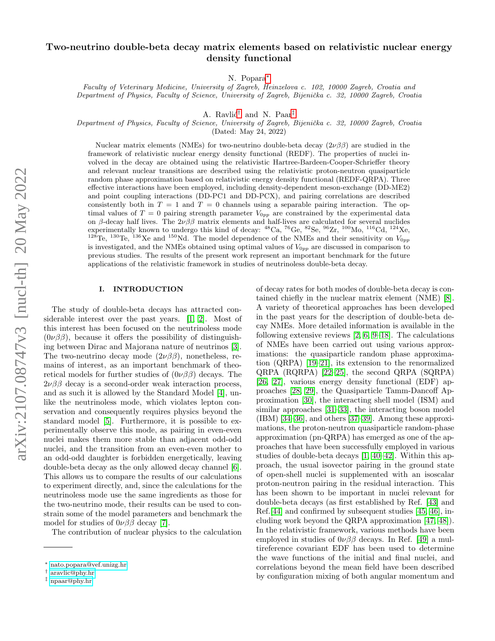# Two-neutrino double-beta decay matrix elements based on relativistic nuclear energy density functional

N. Popara[∗](#page-0-0)

Faculty of Veterinary Medicine, University of Zagreb, Heinzelova c. 102, 10000 Zagreb, Croatia and Department of Physics, Faculty of Science, University of Zagreb, Bijenička c. 32, 10000 Zagreb, Croatia

A. Ravlić<sup>[†](#page-0-1)</sup> and N. Paar<sup>†</sup>

Department of Physics, Faculty of Science, University of Zagreb, Bijenička c. 32, 10000 Zagreb, Croatia

(Dated: May 24, 2022)

Nuclear matrix elements (NMEs) for two-neutrino double-beta decay  $(2\nu\beta\beta)$  are studied in the framework of relativistic nuclear energy density functional (REDF). The properties of nuclei involved in the decay are obtained using the relativistic Hartree-Bardeen-Cooper-Schrieffer theory and relevant nuclear transitions are described using the relativistic proton-neutron quasiparticle random phase approximation based on relativistic energy density functional (REDF-QRPA). Three effective interactions have been employed, including density-dependent meson-exchange (DD-ME2) and point coupling interactions (DD-PC1 and DD-PCX), and pairing correlations are described consistently both in  $T = 1$  and  $T = 0$  channels using a separable pairing interaction. The optimal values of  $T = 0$  pairing strength parameter  $V_{0pp}$  are constrained by the experimental data on β-decay half lives. The  $2\nu\beta\beta$  matrix elements and half-lives are calculated for several nuclides experimentally known to undergo this kind of decay: <sup>48</sup>Ca, <sup>76</sup>Ge, <sup>82</sup>Se, <sup>96</sup>Zr, <sup>100</sup>Mo, <sup>116</sup>Cd, <sup>124</sup>Xe, <sup>128</sup>Te, <sup>130</sup>Te, <sup>136</sup>Xe and <sup>150</sup>Nd. The model dependence of the NMEs and their sensitivity on  $V_{0pp}$ is investigated, and the NMEs obtained using optimal values of  $V_{0pp}$  are discussed in comparison to previous studies. The results of the present work represent an important benchmark for the future applications of the relativistic framework in studies of neutrinoless double-beta decay.

## <span id="page-0-3"></span>I. INTRODUCTION

The study of double-beta decays has attracted considerable interest over the past years. [\[1,](#page-15-0) [2\]](#page-15-1). Most of this interest has been focused on the neutrinoless mode  $(0\nu\beta\beta)$ , because it offers the possibility of distinguishing between Dirac and Majorana nature of neutrinos [\[3\]](#page-15-2). The two-neutrino decay mode  $(2\nu\beta\beta)$ , nonetheless, remains of interest, as an important benchmark of theoretical models for further studies of  $(0\nu\beta\beta)$  decays. The  $2\nu\beta\beta$  decay is a second-order weak interaction process, and as such it is allowed by the Standard Model [\[4\]](#page-15-3), unlike the neutrinoless mode, which violates lepton conservation and consequently requires physics beyond the standard model [\[5\]](#page-15-4). Furthermore, it is possible to experimentally observe this mode, as pairing in even-even nuclei makes them more stable than adjacent odd-odd nuclei, and the transition from an even-even mother to an odd-odd daughter is forbidden energetically, leaving double-beta decay as the only allowed decay channel [\[6\]](#page-15-5). This allows us to compare the results of our calculations to experiment directly, and, since the calculations for the neutrinoless mode use the same ingredients as those for the two-neutrino mode, their results can be used to constrain some of the model parameters and benchmark the model for studies of  $0\nu\beta\beta$  decay [\[7\]](#page-15-6).

The contribution of nuclear physics to the calculation

of decay rates for both modes of double-beta decay is contained chiefly in the nuclear matrix element (NME) [\[8\]](#page-15-7). A variety of theoretical approaches has been developed in the past years for the description of double-beta decay NMEs. More detailed information is available in the following extensive reviews [\[2,](#page-15-1) [6,](#page-15-5) [9–](#page-15-8)[18\]](#page-15-9). The calculations of NMEs have been carried out using various approximations: the quasiparticle random phase approximation (QRPA) [\[19](#page-15-10)[–21\]](#page-15-11), its extension to the renormalized QRPA (RQRPA) [\[22](#page-15-12)[–25\]](#page-15-13), the second QRPA (SQRPA) [\[26,](#page-15-14) [27\]](#page-15-15), various energy density functional (EDF) approaches [\[28,](#page-15-16) [29\]](#page-15-17), the Quasiparticle Tamm-Dancoff Approximation [\[30\]](#page-15-18), the interacting shell model (ISM) and similar approaches [\[31–](#page-15-19)[33\]](#page-15-20), the interacting boson model (IBM) [\[34–](#page-15-21)[36\]](#page-15-22), and others [\[37](#page-15-23)[–39\]](#page-15-24). Among these approximations, the proton-neutron quasiparticle random-phase approximation (pn-QRPA) has emerged as one of the approaches that have been successfully employed in various studies of double-beta decays [\[1,](#page-15-0) [40](#page-15-25)[–42\]](#page-15-26). Within this approach, the usual isovector pairing in the ground state of open-shell nuclei is supplemented with an isoscalar proton-neutron pairing in the residual interaction. This has been shown to be important in nuclei relevant for double-beta decays (as first established by Ref. [\[43\]](#page-15-27) and Ref.[\[44\]](#page-15-28) and confirmed by subsequent studies [\[45,](#page-15-29) [46\]](#page-15-30), including work beyond the QRPA approximation [\[47,](#page-15-31) [48\]](#page-15-32)). In the relativistic framework, various methods have been employed in studies of  $0\nu\beta\beta$  decays. In Ref. [\[49\]](#page-15-33) a multireference covariant EDF has been used to determine the wave functions of the initial and final nuclei, and correlations beyond the mean field have been described by configuration mixing of both angular momentum and

<span id="page-0-0"></span><sup>∗</sup> [nato.popara@vef.unizg.hr](mailto:nato.popara@vef.unizg.hr)

<span id="page-0-1"></span><sup>†</sup> [aravlic@phy.hr](mailto:aravlic@phy.hr)

<span id="page-0-2"></span><sup>‡</sup> [npaar@phy.hr](mailto:npaar@phy.hr)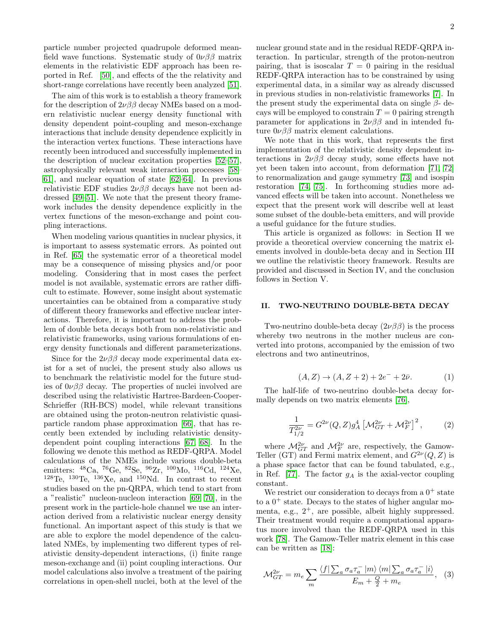particle number projected quadrupole deformed meanfield wave functions. Systematic study of  $0\nu\beta\beta$  matrix elements in the relativistic EDF approach has been reported in Ref. [\[50\]](#page-15-34), and effects of the the relativity and short-range correlations have recently been analyzed [\[51\]](#page-15-35).

The aim of this work is to establish a theory framework for the description of  $2\nu\beta\beta$  decay NMEs based on a modern relativistic nuclear energy density functional with density dependent point-coupling and meson-exchange interactions that include density dependence explicitly in the interaction vertex functions. These interactions have recently been introduced and successfully implemented in the description of nuclear excitation properties [\[52–](#page-15-36)[57\]](#page-16-0), astrophysically relevant weak interaction processes [\[58–](#page-16-1) [61\]](#page-16-2), and nuclear equation of state [\[62–](#page-16-3)[64\]](#page-16-4). In previous relativistic EDF studies  $2\nu\beta\beta$  decays have not been addressed [\[49–](#page-15-33)[51\]](#page-15-35). We note that the present theory framework includes the density dependence explicitly in the vertex functions of the meson-exchange and point coupling interactions.

When modeling various quantities in nuclear physics, it is important to assess systematic errors. As pointed out in Ref. [\[65\]](#page-16-5) the systematic error of a theoretical model may be a consequence of missing physics and/or poor modeling. Considering that in most cases the perfect model is not available, systematic errors are rather difficult to estimate. However, some insight about systematic uncertainties can be obtained from a comparative study of different theory frameworks and effective nuclear interactions. Therefore, it is important to address the problem of double beta decays both from non-relativistic and relativistic frameworks, using various formulations of energy density functionals and different parameterizations.

Since for the  $2\nu\beta\beta$  decay mode experimental data exist for a set of nuclei, the present study also allows us to benchmark the relativistic model for the future studies of  $0\nu\beta\beta$  decay. The properties of nuclei involved are described using the relativistic Hartree-Bardeen-Cooper-Schrieffer (RH-BCS) model, while relevant transitions are obtained using the proton-neutron relativistic quasiparticle random phase approximation [\[66\]](#page-16-6), that has recently been extended by including relativistic densitydependent point coupling interactions [\[67,](#page-16-7) [68\]](#page-16-8). In the following we denote this method as REDF-QRPA. Model calculations of the NMEs include various double-beta emitters:  $^{48}$ Ca,  $^{76}$ Ge,  $^{82}$ Se,  $^{96}$ Zr,  $^{100}$ Mo,  $^{116}$ Cd,  $^{124}$ Xe,  $^{128}\text{Te}$ ,  $^{130}\text{Te}$ ,  $^{136}\text{Xe}$ , and  $^{150}\text{Nd}$ . In contrast to recent studies based on the pn-QRPA, which tend to start from a "realistic" nucleon-nucleon interaction [\[69,](#page-16-9) [70\]](#page-16-10), in the present work in the particle-hole channel we use an interaction derived from a relativistic nuclear energy density functional. An important aspect of this study is that we are able to explore the model dependence of the calculated NMEs, by implementing two different types of relativistic density-dependent interactions, (i) finite range meson-exchange and (ii) point coupling interactions. Our model calculations also involve a treatment of the pairing correlations in open-shell nuclei, both at the level of the

nuclear ground state and in the residual REDF-QRPA interaction. In particular, strength of the proton-neutron pairing, that is isoscalar  $T = 0$  pairing in the residual REDF-QRPA interaction has to be constrained by using experimental data, in a similar way as already discussed in previous studies in non-relativistic frameworks [\[7\]](#page-15-6). In the present study the experimental data on single  $\beta$ - decays will be employed to constrain  $T = 0$  pairing strength parameter for applications in  $2\nu\beta\beta$  and in intended future  $0\nu\beta\beta$  matrix element calculations.

We note that in this work, that represents the first implementation of the relativistic density dependent interactions in  $2\nu\beta\beta$  decay study, some effects have not yet been taken into account, from deformation [\[71,](#page-16-11) [72\]](#page-16-12) to renormalization and gauge symmetry [\[73\]](#page-16-13) and isospin restoration [\[74,](#page-16-14) [75\]](#page-16-15). In forthcoming studies more advanced effects will be taken into account. Nonetheless we expect that the present work will describe well at least some subset of the double-beta emitters, and will provide a useful guidance for the future studies.

This article is organized as follows: in Section II we provide a theoretical overview concerning the matrix elements involved in double-beta decay and in Section III we outline the relativistic theory framework. Results are provided and discussed in Section IV, and the conclusion follows in Section V.

### II. TWO-NEUTRINO DOUBLE-BETA DECAY

Two-neutrino double-beta decay  $(2\nu\beta\beta)$  is the process whereby two neutrons in the mother nucleus are converted into protons, accompanied by the emission of two electrons and two antineutrinos,

$$
(A, Z) \to (A, Z + 2) + 2e^- + 2\bar{\nu}.
$$
 (1)

The half-life of two-neutrino double-beta decay formally depends on two matrix elements [\[76\]](#page-16-16),

$$
\frac{1}{T_{1/2}^{2\nu}} = G^{2\nu}(Q, Z)g_A^4 \left[ \mathcal{M}_{GT}^{2\nu} + \mathcal{M}_F^{2\nu} \right]^2, \tag{2}
$$

where  $\mathcal{M}_{GT}^{2\nu}$  and  $\mathcal{M}_{F}^{2\nu}$  are, respectively, the Gamow-Teller (GT) and Fermi matrix element, and  $G^{2\nu}(Q, Z)$  is a phase space factor that can be found tabulated, e.g., in Ref. [\[77\]](#page-16-17). The factor  $g_A$  is the axial-vector coupling constant.

We restrict our consideration to decays from a  $0^+$  state to a  $0^+$  state. Decays to the states of higher angular momenta, e.g.,  $2^+$ , are possible, albeit highly suppressed. Their treatment would require a computational apparatus more involved than the REDF-QRPA used in this work [\[78\]](#page-16-18). The Gamow-Teller matrix element in this case can be written as [\[18\]](#page-15-9):

<span id="page-1-0"></span>
$$
\mathcal{M}_{GT}^{2\nu} = m_e \sum_{m} \frac{\langle f | \sum_{a} \sigma_a \tau_a^- | m \rangle \langle m | \sum_{a} \sigma_a \tau_a^- | i \rangle}{E_m + \frac{Q}{2} + m_e}, \quad (3)
$$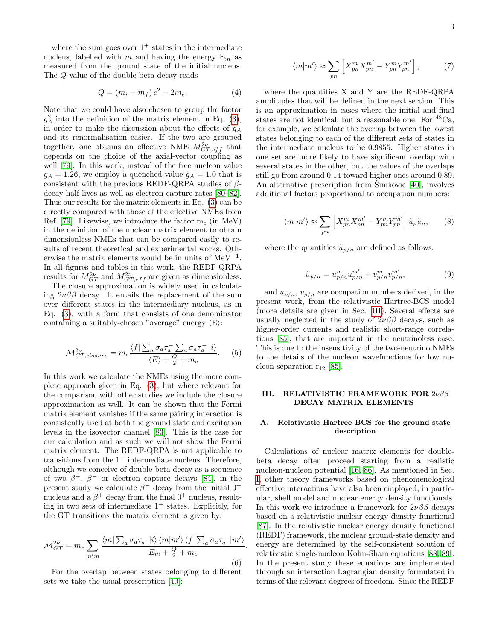where the sum goes over  $1^+$  states in the intermediate nucleus, labelled with m and having the energy  $E_m$  as measured from the ground state of the initial nucleus. The Q-value of the double-beta decay reads

$$
Q = (m_i - m_f) c^2 - 2m_e.
$$
 (4)

Note that we could have also chosen to group the factor  $g_A^2$  into the definition of the matrix element in Eq. [\(3\)](#page-1-0), in order to make the discussion about the effects of  $g_A$ and its renormalisation easier. If the two are grouped together, one obtains an effective NME  $M_{GT,eff}^{2\nu}$  that depends on the choice of the axial-vector coupling as well [\[79\]](#page-16-19). In this work, instead of the free nucleon value  $g_A = 1.26$ , we employ a quenched value  $g_A = 1.0$  that is consistent with the previous REDF-QRPA studies of  $\beta$ decay half-lives as well as electron capture rates [\[80–](#page-16-20)[82\]](#page-16-21). Thus our results for the matrix elements in Eq. [\(3\)](#page-1-0) can be directly compared with those of the effective NMEs from Ref. [\[79\]](#page-16-19). Likewise, we introduce the factor  $m_e$  (in MeV) in the definition of the nuclear matrix element to obtain dimensionless NMEs that can be compared easily to results of recent theoretical and experimental works. Otherwise the matrix elements would be in units of  $MeV^{-1}$ . In all figures and tables in this work, the REDF-QRPA results for  $M^{2\nu}_{GT}$  and  $M^{2\nu}_{GT,eff}$  are given as dimensionless.

The closure approximation is widely used in calculating  $2\nu\beta\beta$  decay. It entails the replacement of the sum over different states in the intermediary nucleus, as in Eq. [\(3\)](#page-1-0), with a form that consists of one denominator containing a suitably-chosen "average" energy  $\langle E \rangle$ :

$$
\mathcal{M}_{GT,closure}^{2\nu} = m_e \frac{\langle f | \sum_a \sigma_a \tau_a^- \sum_a \sigma_a \tau_a^- | i \rangle}{\langle E \rangle + \frac{Q}{2} + m_e}.
$$
 (5)

In this work we calculate the NMEs using the more complete approach given in Eq. [\(3\)](#page-1-0), but where relevant for the comparison with other studies we include the closure approximation as well. It can be shown that the Fermi matrix element vanishes if the same pairing interaction is consistently used at both the ground state and excitation levels in the isovector channel [\[83\]](#page-16-22). This is the case for our calculation and as such we will not show the Fermi matrix element. The REDF-QRPA is not applicable to transitions from the  $1^+$  intermediate nucleus. Therefore, although we conceive of double-beta decay as a sequence of two  $\beta^+$ ,  $\beta^-$  or electron capture decays [\[84\]](#page-16-23), in the present study we calculate  $\beta^-$  decay from the initial  $0^+$ nucleus and a  $\beta^+$  decay from the final  $0^+$  nucleus, resulting in two sets of intermediate  $1^+$  states. Explicitly, for the GT transitions the matrix element is given by:

$$
\mathcal{M}_{GT}^{2\nu} = m_e \sum_{m'm} \frac{\langle m | \sum_a \sigma_a \tau_a^- | i \rangle \langle m | m' \rangle \langle f | \sum_a \sigma_a \tau_a^- | m' \rangle}{E_m + \frac{Q}{2} + m_e} \tag{6}
$$

.

For the overlap between states belonging to different sets we take the usual prescription [\[40\]](#page-15-25):

<span id="page-2-2"></span>
$$
\langle m|m'\rangle \approx \sum_{pn} \left[ X_{pn}^m X_{pn}^{m'} - Y_{pn}^m Y_{pn}^{m'} \right],\tag{7}
$$

where the quantities X and Y are the REDF-QRPA amplitudes that will be defined in the next section. This is an approximation in cases where the initial and final states are not identical, but a reasonable one. For  ${}^{48}Ca$ , for example, we calculate the overlap between the lowest states belonging to each of the different sets of states in the intermediate nucleus to be 0.9855. Higher states in one set are more likely to have significant overlap with several states in the other, but the values of the overlaps still go from around 0.14 toward higher ones around 0.89. An alternative prescription from  $\text{Simkovic}$  [\[40\]](#page-15-25), involves additional factors proportional to occupation numbers:

<span id="page-2-3"></span>
$$
\langle m|m'\rangle \approx \sum_{pn} \left[ X_{pn}^m X_{pn}^{m'} - Y_{pn}^m Y_{pn}^{m'} \right] \tilde{u}_p \tilde{u}_n, \qquad (8)
$$

where the quantities  $\tilde{u}_{p/n}$  are defined as follows:

$$
\tilde{u}_{p/n} = u_{p/n}^m u_{p/n}^{m'} + v_{p/n}^m v_{p/n}^{m'},\tag{9}
$$

and  $u_{p/n}$ ,  $v_{p/n}$  are occupation numbers derived, in the present work, from the relativistic Hartree-BCS model (more details are given in Sec. [III\)](#page-2-0). Several effects are usually neglected in the study of  $2\nu\beta\beta$  decays, such as higher-order currents and realistic short-range correlations [\[85\]](#page-16-24), that are important in the neutrinoless case. This is due to the insensitivity of the two-neutrino NMEs to the details of the nucleon wavefunctions for low nucleon separation  $r_{12}$  [\[85\]](#page-16-24).

#### <span id="page-2-0"></span>III. RELATIVISTIC FRAMEWORK FOR 2νββ DECAY MATRIX ELEMENTS

### <span id="page-2-1"></span>A. Relativistic Hartree-BCS for the ground state description

Calculations of nuclear matrix elements for doublebeta decay often proceed starting from a realistic nucleon-nucleon potential [\[16,](#page-15-37) [86\]](#page-16-25). As mentioned in Sec. [I,](#page-0-3) other theory frameworks based on phenomenological effective interactions have also been employed, in particular, shell model and nuclear energy density functionals. In this work we introduce a framework for  $2\nu\beta\beta$  decays based on a relativistic nuclear energy density functional [\[87\]](#page-16-26). In the relativistic nuclear energy density functional (REDF) framework, the nuclear ground-state density and energy are determined by the self-consistent solution of relativistic single-nucleon Kohn-Sham equations [\[88,](#page-16-27) [89\]](#page-16-28). In the present study these equations are implemented through an interaction Lagrangian density formulated in terms of the relevant degrees of freedom. Since the REDF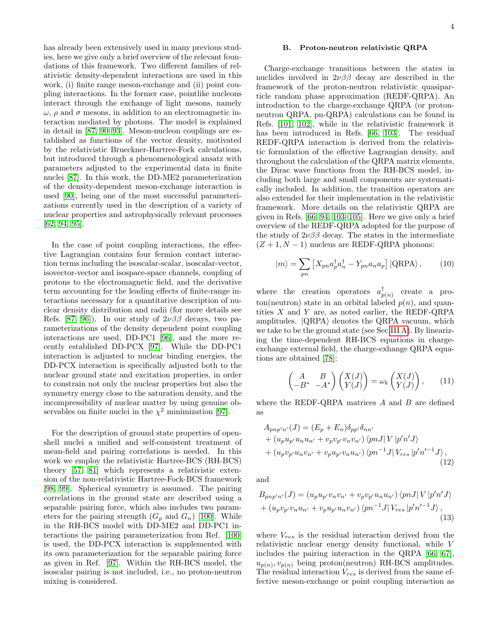#### B. Proton-neutron relativistic QRPA

has already been extensively used in many previous studies, here we give only a brief overview of the relevant foundations of this framework. Two different families of relativistic density-dependent interactions are used in this work, (i) finite range meson-exchange and (ii) point coupling interactions. In the former case, pointlike nucleons interact through the exchange of light mesons, namely  $\omega$ ,  $\rho$  and  $\sigma$  mesons, in addition to an electromagnetic interaction mediated by photons. The model is explained in detail in [\[87,](#page-16-26) [90–](#page-16-29)[93\]](#page-16-30). Meson-nucleon couplings are established as functions of the vector density, motivated by the relativistic Brueckner-Hartree-Fock calculations, but introduced through a phenomenological ansatz with parameters adjusted to the experimental data in finite nuclei [\[87\]](#page-16-26). In this work, the DD-ME2 parameterization of the density-dependent meson-exchange interaction is used [\[90\]](#page-16-29), being one of the most successful parameterizations currently used in the description of a variety of nuclear properties and astrophysically relevant processes [\[62,](#page-16-3) [94,](#page-16-31) [95\]](#page-16-32).

In the case of point coupling interactions, the effective Lagrangian contains four fermion contact interaction terms including the isoscalar-scalar, isoscalar-vector, isovector-vector and isospace-space channels, coupling of protons to the electromagnetic field, and the derivative term accounting for the leading effects of finite-range interactions necessary for a quantitative description of nuclear density distribution and radii (for more details see Refs. [\[87,](#page-16-26) [96\]](#page-16-33)). In our study of  $2\nu\beta\beta$  decays, two parameterizations of the density dependent point coupling interactions are used, DD-PC1 [\[96\]](#page-16-33), and the more recently established DD-PCX [\[97\]](#page-16-34). While the DD-PC1 interaction is adjusted to nuclear binding energies, the DD-PCX interaction is specifically adjusted both to the nuclear ground state and excitation properties, in order to constrain not only the nuclear properties but also the symmetry energy close to the saturation density, and the incompressibility of nuclear matter by using genuine observables on finite nuclei in the  $\chi^2$  minimization [\[97\]](#page-16-34).

For the description of ground state properties of openshell nuclei a unified and self-consistent treatment of mean-field and pairing correlations is needed. In this work we employ the relativistic Hartree-BCS (RH-BCS) theory [\[57,](#page-16-0) [81\]](#page-16-35) which represents a relativistic extension of the non-relativistic Hartree-Fock-BCS framework [\[98,](#page-16-36) [99\]](#page-16-37). Spherical symmetry is assumed. The pairing correlations in the ground state are described using a separable pairing force, which also includes two parameters for the pairing strength  $(G_p \text{ and } G_n)$  [\[100\]](#page-16-38). While in the RH-BCS model with DD-ME2 and DD-PC1 interactions the pairing parameterization from Ref. [\[100\]](#page-16-38) is used, the DD-PCX interaction is supplemented with its own parameterization for the separable pairing force as given in Ref. [\[97\]](#page-16-34). Within the RH-BCS model, the isoscalar pairing is not included, i.e., no proton-neutron mixing is considered.

Charge-exchange transitions between the states in nuclides involved in  $2\nu\beta\beta$  decay are described in the framework of the proton-neutron relativistic quasiparticle random phase approximation (REDF-QRPA). An introduction to the charge-exchange QRPA (or protonneutron QRPA, pn-QRPA) calculations can be found in Refs. [\[101,](#page-16-39) [102\]](#page-16-40), while in the relativistic framework it has been introduced in Refs. [\[66,](#page-16-6) [103\]](#page-16-41). The residual REDF-QRPA interaction is derived from the relativistic formulation of the effective Lagrangian density, and throughout the calculation of the QRPA matrix elements, the Dirac wave functions from the RH-BCS model, including both large and small components are systematically included. In addition, the transition operators are also extended for their implementation in the relativistic framework. More details on the relativistic QRPA are given in Refs. [\[66,](#page-16-6) [94,](#page-16-31) [103–](#page-16-41)[105\]](#page-16-42). Here we give only a brief overview of the REDF-QRPA adopted for the purpose of the study of  $2\nu\beta\beta$  decay. The states in the intermediate  $(Z + 1, N - 1)$  nucleus are REDF-QRPA phonons:

$$
|m\rangle = \sum_{pn} \left[ X_{pn} a_p^{\dagger} a_n^{\dagger} - Y_{pn} a_n a_p \right] |QRPA\rangle, \qquad (10)
$$

where the creation operators  $a_n^{\dagger}$  $p(n)$  create a proton(neutron) state in an orbital labeled  $p(n)$ , and quantities  $X$  and  $Y$  are, as noted earlier, the REDF-QRPA amplitudes.  $|QRPA\rangle$  denotes the QRPA vacuum, which we take to be the ground state (see Sec[.III A\)](#page-2-1). By linearizing the time-dependent RH-BCS equations in chargeexchange external field, the charge-exhange QRPA equations are obtained [\[78\]](#page-16-18):

$$
\begin{pmatrix} A & B \\ -B^* & -A^* \end{pmatrix} \begin{pmatrix} X(J) \\ Y(J) \end{pmatrix} = \omega_k \begin{pmatrix} X(J) \\ Y(J) \end{pmatrix}, \qquad (11)
$$

where the REDF-QRPA matrices  $A$  and  $B$  are defined as

$$
A_{pnp'n'}(J) = (E_p + E_n) \delta_{pp'} \delta_{nn'}
$$
  
+  $(u_p u_{p'} u_n u_{n'} + v_p v_{p'} v_n v_{n'}) \langle pn J | V | p'n' J \rangle$   
+  $(u_p v_{p'} u_n v_{n'} + v_p u_{p'} v_n u_{n'}) \langle pn^{-1} J | V_{res} | p'n'^{-1} J \rangle$ , (12)

and

$$
B_{pnp'n'}(J) = (u_p u_{p'} v_n v_{n'} + v_p v_{p'} u_n u_{n'}) \langle pnJ| V | p'n'J \rangle + (u_p v_{p'} v_n u_{n'} + v_p u_{p'} u_n v_{n'}) \langle pn^{-1} J| V_{res} | p'n'^{-1} J \rangle ,
$$
\n(13)

where  $V_{res}$  is the residual interaction derived from the relativistic nuclear energy density functional, while V includes the pairing interaction in the QRPA [\[66,](#page-16-6) [67\]](#page-16-7),  $u_{p(n)}, v_{p(n)}$  being proton(neutron) RH-BCS amplitudes. The residual interaction  $V_{res}$  is derived from the same effective meson-exchange or point coupling interaction as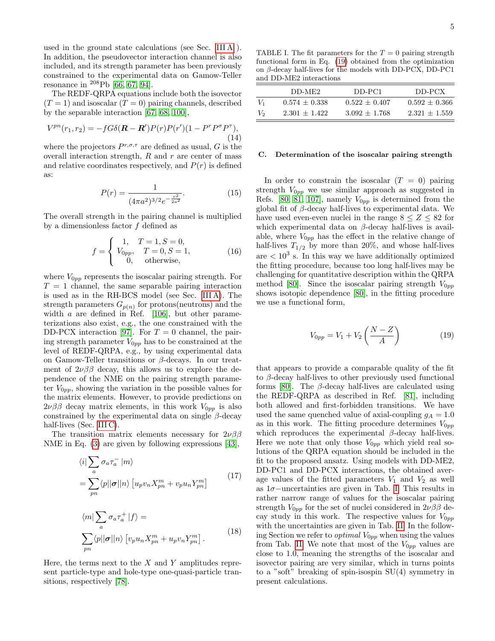used in the ground state calculations (see Sec. [III A](#page-2-1) ). In addition, the pseudovector interaction channel is also included, and its strength parameter has been previously constrained to the experimental data on Gamow-Teller resonance in <sup>208</sup>Pb [\[66,](#page-16-6) [67,](#page-16-7) [94\]](#page-16-31).

The REDF-QRPA equations include both the isovector  $(T = 1)$  and isoscalar  $(T = 0)$  pairing channels, described by the separable interaction [\[67,](#page-16-7) [68,](#page-16-8) [100\]](#page-16-38),

$$
V^{pn}(r_1, r_2) = -fG\delta(\mathbf{R} - \mathbf{R}')P(r)P(r')(1 - P^r P^{\sigma} P^{\tau}),
$$
\n(14)

where the projectors  $P^{r,\sigma,\tau}$  are defined as usual, G is the overall interaction strength,  $R$  and  $r$  are center of mass and relative coordinates respectively, and  $P(r)$  is defined as:

$$
P(r) = \frac{1}{(4\pi a^2)^{3/2} e^{-\frac{r^2}{2a^2}}}.
$$
\n(15)

The overall strength in the pairing channel is multiplied by a dimensionless factor  $f$  defined as

$$
f = \begin{cases} 1, & T = 1, S = 0, \\ V_{0pp}, & T = 0, S = 1, \\ 0, & \text{otherwise,} \end{cases}
$$
 (16)

where  $V_{0pp}$  represents the isoscalar pairing strength. For  $T = 1$  channel, the same separable pairing interaction is used as in the RH-BCS model (see Sec. [III A\)](#page-2-1). The strength parameters  $G_{p(n)}$  for protons(neutrons) and the width *a* are defined in Ref. [\[106\]](#page-16-43), but other parameterizations also exist, e.g., the one constrained with the DD-PCX interaction [\[97\]](#page-16-34). For  $T = 0$  channel, the pairing strength parameter  $V_{0pp}$  has to be constrained at the level of REDF-QRPA, e.g., by using experimental data on Gamow-Teller transitions or  $\beta$ -decays. In our treatment of  $2\nu\beta\beta$  decay, this allows us to explore the dependence of the NME on the pairing strength parameter  $V_{0pp}$ , showing the variation in the possible values for the matrix elements. However, to provide predictions on  $2\nu\beta\beta$  decay matrix elements, in this work  $V_{0pp}$  is also constrained by the experimental data on single  $\beta$ -decay half-lives (Sec. [III C\)](#page-4-0).

The transition matrix elements necessary for  $2\nu\beta\beta$ NME in Eq. [\(3\)](#page-1-0) are given by following expressions [\[43\]](#page-15-27),

$$
\langle i| \sum_{a} \sigma_{a} \tau_{a}^{-} |m \rangle
$$
  
= 
$$
\sum_{pn} \langle p| |\sigma| |n \rangle \left[ u_{p} v_{n} X_{pn}^{m} + v_{p} u_{n} Y_{pn}^{m} \right]
$$
 (17)

$$
\langle m | \sum_{a} \sigma_{a} \tau_{a}^{+} | f \rangle =
$$
  

$$
\sum_{pn} \langle p | |\sigma| | n \rangle \left[ v_{p} u_{n} X_{pn}^{m} + u_{p} v_{n} Y_{pn}^{m} \right].
$$
 (18)

Here, the terms next to the  $X$  and  $Y$  amplitudes represent particle-type and hole-type one-quasi-particle transitions, respectively [\[78\]](#page-16-18).

<span id="page-4-2"></span>TABLE I. The fit parameters for the  $T = 0$  pairing strength functional form in Eq. [\(19\)](#page-4-1) obtained from the optimization on β-decay half-lives for the models with DD-PCX, DD-PC1 and DD-ME2 interactions

|                | DD-ME2          | DD-PC1          | DD-PCX          |
|----------------|-----------------|-----------------|-----------------|
| V <sub>1</sub> | $0.574 + 0.338$ | $0.522 + 0.407$ | $0.592 + 0.366$ |
| V <sub>2</sub> | $2.301 + 1.422$ | $3.092 + 1.768$ | $2.321 + 1.559$ |

### <span id="page-4-0"></span>C. Determination of the isoscalar pairing strength

In order to constrain the isoscalar  $(T = 0)$  pairing strength  $V_{0pp}$  we use similar approach as suggested in Refs. [\[80,](#page-16-20) [81,](#page-16-35) [107\]](#page-16-44), namely  $V_{0pp}$  is determined from the global fit of  $\beta$ -decay half-lives to experimental data. We have used even-even nuclei in the range  $8 \leq Z \leq 82$  for which experimental data on  $\beta$ -decay half-lives is available, where  $V_{0pp}$  has the effect in the relative change of half-lives  $T_{1/2}$  by more than 20%, and whose half-lives are  $\langle 10^3 \text{ s.} \rangle$  In this way we have additionally optimized the fitting procedure, because too long half-lives may be challenging for quantitative description within the QRPA method [\[80\]](#page-16-20). Since the isoscalar pairing strength  $V_{0pp}$ shows isotopic dependence [\[80\]](#page-16-20), in the fitting procedure we use a functional form,

<span id="page-4-1"></span>
$$
V_{0pp} = V_1 + V_2 \left(\frac{N-Z}{A}\right) \tag{19}
$$

that appears to provide a comparable quality of the fit to  $\beta$ -decay half-lives to other previously used functional forms [\[80\]](#page-16-20). The  $\beta$ -decay half-lives are calculated using the REDF-QRPA as described in Ref. [\[81\]](#page-16-35), including both allowed and first-forbidden transitions. We have used the same quenched value of axial-coupling  $g_A = 1.0$ as in this work. The fitting procedure determines  $V_{0pp}$ which reproduces the experimental  $\beta$ -decay half-lives. Here we note that only those  $V_{0pp}$  which yield real solutions of the QRPA equation should be included in the fit to the proposed ansatz. Using models with DD-ME2, DD-PC1 and DD-PCX interactions, the obtained average values of the fitted parameters  $V_1$  and  $V_2$  as well as 1σ−uncertainties are given in Tab. [I.](#page-4-2) This results in rather narrow range of values for the isoscalar pairing strength  $V_{0pp}$  for the set of nuclei considered in  $2\nu\beta\beta$  decay study in this work. The respective values for  $V_{0pp}$ with the uncertainties are given in Tab. [II.](#page-5-0) In the following Section we refer to *optimal*  $V_{0pp}$  when using the values from Tab. [II.](#page-5-0) We note that most of the  $V_{0pp}$  values are close to 1.0, meaning the strengths of the isoscalar and isovector pairing are very similar, which in turns points to a "soft" breaking of spin-isospin SU(4) symmetry in present calculations.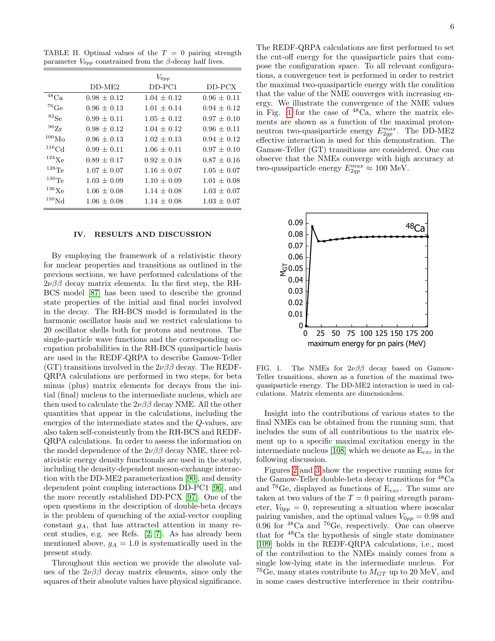<span id="page-5-0"></span>TABLE II. Optimal values of the  $T = 0$  pairing strength parameter  $V_{0pp}$  constrained from the β-decay half lives.

|                       |                 | $V_{0pp}$       |                 |
|-----------------------|-----------------|-----------------|-----------------|
|                       | $DD-ME2$        | $DD-PC1$        | $DD-PCX$        |
| $48$ Ca               | $0.98 + 0.12$   | $1.04 \pm 0.12$ | $0.96 \pm 0.11$ |
| $^{76}{\rm Ge}$       | $0.96 \pm 0.13$ | $1.01 + 0.14$   | $0.94 + 0.12$   |
| $^{82}{\rm Se}$       | $0.99 \pm 0.11$ | $1.05 \pm 0.12$ | $0.97 + 0.10$   |
| $^{96}{\rm Zr}$       | $0.98 \pm 0.12$ | $1.04 + 0.12$   | $0.96 \pm 0.11$ |
| 100 <sub>Mo</sub>     | $0.96 \pm 0.13$ | $1.02 \pm 0.13$ | $0.94 \pm 0.12$ |
| ${}^{116}\text{Cd}$   | $0.99 \pm 0.11$ | $1.06 + 0.11$   | $0.97 + 0.10$   |
| $^{124}$ Xe           | $0.89 \pm 0.17$ | $0.92 \pm 0.18$ | $0.87 \pm 0.16$ |
| $^{128}\mathrm{Te}$   | $1.07 \pm 0.07$ | $1.16 \pm 0.07$ | $1.05 \pm 0.07$ |
| $130$ Te              | $1.03 \pm 0.09$ | $1.10 \pm 0.09$ | $1.01 \pm 0.08$ |
| $^{136}\mathrm{Xe}$   | $1.06 \pm 0.08$ | $1.14 + 0.08$   | $1.03 \pm 0.07$ |
| ${}^{150}\mathrm{Nd}$ | $1.06 \pm 0.08$ | $1.14 \pm 0.08$ | $1.03 \pm 0.07$ |

#### IV. RESULTS AND DISCUSSION

By employing the framework of a relativistic theory for nuclear properties and transitions as outlined in the previous sections, we have performed calculations of the  $2\nu\beta\beta$  decay matrix elements. In the first step, the RH-BCS model [\[87\]](#page-16-26) has been used to describe the ground state properties of the initial and final nuclei involved in the decay. The RH-BCS model is formulated in the harmonic oscillator basis and we restrict calculations to 20 oscillator shells both for protons and neutrons. The single-particle wave functions and the corresponding occupation probabilities in the RH-BCS quasiparticle basis are used in the REDF-QRPA to describe Gamow-Teller (GT) transitions involved in the  $2\nu\beta\beta$  decay. The REDF-QRPA calculations are performed in two steps, for beta minus (plus) matrix elements for decays from the initial (final) nucleus to the intermediate nucleus, which are then used to calculate the  $2\nu\beta\beta$  decay NME. All the other quantities that appear in the calculations, including the energies of the intermediate states and the Q-values, are also taken self-consistently from the RH-BCS and REDF-QRPA calculations. In order to assess the information on the model dependence of the  $2\nu\beta\beta$  decay NME, three relativistic energy density functionals are used in the study, including the density-dependent meson-exchange interaction with the DD-ME2 parameterization [\[90\]](#page-16-29), and density dependent point coupling interactions DD-PC1 [\[96\]](#page-16-33), and the more recently established DD-PCX [\[97\]](#page-16-34). One of the open questions in the description of double-beta decays is the problem of quenching of the axial-vector coupling constant  $g_A$ , that has attracted attention in many recent studies, e.g. see Refs. [\[2,](#page-15-1) [7\]](#page-15-6). As has already been mentioned above,  $g_A = 1.0$  is systematically used in the present study.

Throughout this section we provide the absolute values of the  $2\nu\beta\beta$  decay matrix elements, since only the squares of their absolute values have physical significance.

The REDF-QRPA calculations are first performed to set the cut-off energy for the quasiparticle pairs that compose the configuration space. To all relevant configurations, a convergence test is performed in order to restrict the maximal two-quasiparticle energy with the condition that the value of the NME converges with increasing energy. We illustrate the convergence of the NME values in Fig. [1](#page-5-1) for the case of  $48Ca$ , where the matrix elements are shown as a function of the maximal protonneutron two-quasiparticle energy  $E_{2qp}^{max}$ . The DD-ME2 effective interaction is used for this demonstration. The Gamow-Teller (GT) transitions are considered. One can observe that the NMEs converge with high accuracy at two-quasiparticle energy  $E_{2qp}^{max} \approx 100$  MeV.



<span id="page-5-1"></span>FIG. 1. The NMEs for  $2\nu\beta\beta$  decay based on Gamow-Teller transitions, shown as a function of the maximal twoquasiparticle energy. The DD-ME2 interaction is used in calculations. Matrix elements are dimensionless.

Insight into the contributions of various states to the final NMEs can be obtained from the running sum, that includes the sum of all contributions to the matrix element up to a specific maximal excitation energy in the intermediate nucleus [\[108\]](#page-16-45) which we denote as  $E_{exc}$  in the following discussion.

Figures [2](#page-6-0) and [3](#page-6-1) show the respective running sums for the Gamow-Teller double-beta decay transitions for <sup>48</sup>Ca and <sup>76</sup>Ge, displayed as functions of  $E_{exc}$ . The sums are taken at two values of the  $T = 0$  pairing strength parameter,  $V_{0pp} = 0$ , representing a situation where isoscalar pairing vanishes, and the optimal values  $V_{0pp} = 0.98$  and 0.96 for  $^{48}$ Ca and  $^{76}$ Ge, respectively. One can observe that for <sup>48</sup>Ca the hypothesis of single state dominance [\[109\]](#page-16-46) holds in the REDF-QRPA calculations, i.e., most of the contribution to the NMEs mainly comes from a single low-lying state in the intermediate nucleus. For <sup>76</sup>Ge, many states contribute to  $M_{GT}$  up to 20 MeV, and in some cases destructive interference in their contribu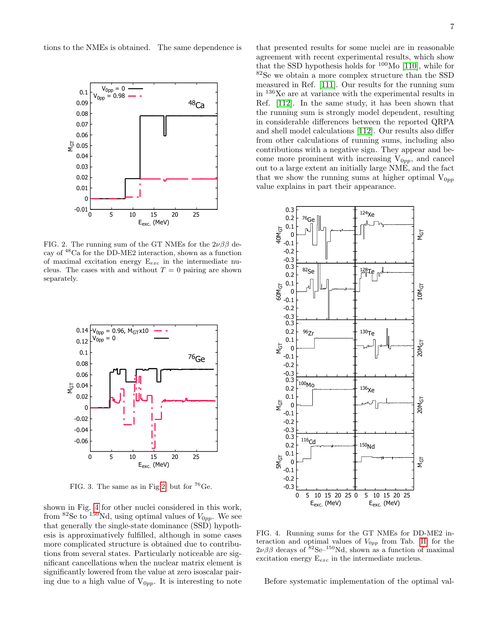tions to the NMEs is obtained. The same dependence is



<span id="page-6-0"></span>FIG. 2. The running sum of the GT NMEs for the  $2\nu\beta\beta$  decay of <sup>48</sup>Ca for the DD-ME2 interaction, shown as a function of maximal excitation energy  $E_{exc}$  in the intermediate nucleus. The cases with and without  $T = 0$  pairing are shown separately.



<span id="page-6-1"></span>FIG. 3. The same as in Fig[.2,](#page-6-0) but for  $^{76}$ Ge.

shown in Fig. [4](#page-6-2) for other nuclei considered in this work, from <sup>82</sup>Se to <sup>150</sup>Nd, using optimal values of  $V_{0pp}$ . We see that generally the single-state dominance (SSD) hypothesis is approximatively fulfilled, although in some cases more complicated structure is obtained due to contributions from several states. Particularly noticeable are significant cancellations when the nuclear matrix element is significantly lowered from the value at zero isoscalar pairing due to a high value of  $V_{0pp}$ . It is interesting to note

that presented results for some nuclei are in reasonable agreement with recent experimental results, which show that the SSD hypothesis holds for  $100$ Mo [\[110\]](#page-16-47), while for <sup>82</sup>Se we obtain a more complex structure than the SSD measured in Ref. [\[111\]](#page-17-0). Our results for the running sum in  $^{136}\mathrm{Xe}$  are at variance with the experimental results in Ref. [\[112\]](#page-17-1). In the same study, it has been shown that the running sum is strongly model dependent, resulting in considerable differences between the reported QRPA and shell model calculations [\[112\]](#page-17-1). Our results also differ from other calculations of running sums, including also contributions with a negative sign. They appear and become more prominent with increasing  $V_{0pp}$ , and cancel out to a large extent an initially large NME, and the fact that we show the running sums at higher optimal  $V_{0pp}$ value explains in part their appearance.



<span id="page-6-2"></span>FIG. 4. Running sums for the GT NMEs for DD-ME2 interaction and optimal values of  $V_{0pp}$  from Tab. [II,](#page-5-0) for the  $2\nu\beta\beta$  decays of  $8^{2}$ Se<sup>-150</sup>Nd, shown as a function of maximal excitation energy  $E_{exc}$  in the intermediate nucleus.

Before systematic implementation of the optimal val-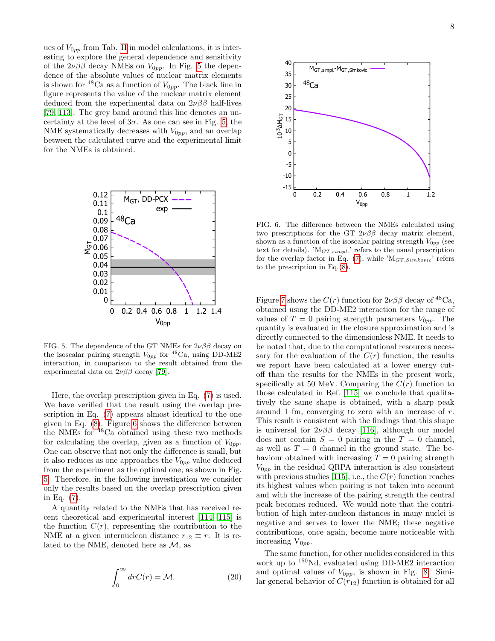ues of  $V_{0pp}$  from Tab. [II](#page-5-0) in model calculations, it is interesting to explore the general dependence and sensitivity of the  $2\nu\beta\beta$  decay NMEs on  $V_{0pp}$ . In Fig. [5](#page-7-0) the dependence of the absolute values of nuclear matrix elements is shown for <sup>48</sup>Ca as a function of  $V_{0pp}$ . The black line in figure represents the value of the nuclear matrix element deduced from the experimental data on  $2\nu\beta\beta$  half-lives [\[79,](#page-16-19) [113\]](#page-17-2). The grey band around this line denotes an uncertainty at the level of  $3\sigma$ . As one can see in Fig. [5,](#page-7-0) the NME systematically decreases with  $V_{0pp}$ , and an overlap between the calculated curve and the experimental limit for the NMEs is obtained.



<span id="page-7-0"></span>FIG. 5. The dependence of the GT NMEs for  $2\nu\beta\beta$  decay on the isoscalar pairing strength  $V_{0pp}$  for  $^{48}$ Ca, using DD-ME2 interaction, in comparison to the result obtained from the experimental data on  $2\nu\beta\beta$  decay [\[79\]](#page-16-19).

Here, the overlap prescription given in Eq. [\(7\)](#page-2-2) is used. We have verified that the result using the overlap prescription in Eq. [\(7\)](#page-2-2) appears almost identical to the one given in Eq. [\(8\)](#page-2-3). Figure [6](#page-7-1) shows the difference between the NMEs for <sup>48</sup>Ca obtained using these two methods for calculating the overlap, given as a function of  $V_{0pp}$ . One can observe that not only the difference is small, but it also reduces as one approaches the  $V_{0pp}$  value deduced from the experiment as the optimal one, as shown in Fig. [5.](#page-7-0) Therefore, in the following investigation we consider only the results based on the overlap prescription given in Eq. [\(7\)](#page-2-2).

A quantity related to the NMEs that has received recent theoretical and experimental interest [\[114,](#page-17-3) [115\]](#page-17-4) is the function  $C(r)$ , representing the contribution to the NME at a given internucleon distance  $r_{12} \equiv r$ . It is related to the NME, denoted here as  $\mathcal{M}$ , as

$$
\int_0^\infty dr C(r) = \mathcal{M}.\tag{20}
$$



<span id="page-7-1"></span>FIG. 6. The difference between the NMEs calculated using two prescriptions for the GT  $2\nu\beta\beta$  decay matrix element, shown as a function of the isoscalar pairing strength  $V_{0pp}$  (see text for details). ' $M_{GT,simpl}$ ' refers to the usual prescription for the overlap factor in Eq.  $(7)$ , while ' $M_{GT,Simkovic}$ ' refers to the prescription in Eq.[\(8\)](#page-2-3).

Figure [7](#page-8-0) shows the  $C(r)$  function for  $2\nu\beta\beta$  decay of <sup>48</sup>Ca, obtained using the DD-ME2 interaction for the range of values of  $T = 0$  pairing strength parameters  $V_{0pp}$ . The quantity is evaluated in the closure approximation and is directly connected to the dimensionless NME. It needs to be noted that, due to the computational resources necessary for the evaluation of the  $C(r)$  function, the results we report have been calculated at a lower energy cutoff than the results for the NMEs in the present work, specifically at 50 MeV. Comparing the  $C(r)$  function to those calculated in Ref. [\[115\]](#page-17-4) we conclude that qualitatively the same shape is obtained, with a sharp peak around 1 fm, converging to zero with an increase of r. This result is consistent with the findings that this shape is universal for  $2\nu\beta\beta$  decay [\[116\]](#page-17-5), although our model does not contain  $S = 0$  pairing in the  $T = 0$  channel, as well as  $T = 0$  channel in the ground state. The behaviour obtained with increasing  $T = 0$  pairing strength  $V_{0pp}$  in the residual QRPA interaction is also consistent with previous studies [\[115\]](#page-17-4), i.e., the  $C(r)$  function reaches its highest values when pairing is not taken into account and with the increase of the pairing strength the central peak becomes reduced. We would note that the contribution of high inter-nucleon distances in many nuclei is negative and serves to lower the NME; these negative contributions, once again, become more noticeable with increasing  $V_{0pp}$ .

The same function, for other nuclides considered in this work up to <sup>150</sup>Nd, evaluated using DD-ME2 interaction and optimal values of  $V_{0pp}$ , is shown in Fig. [8.](#page-8-1) Similar general behavior of  $C(r_{12})$  function is obtained for all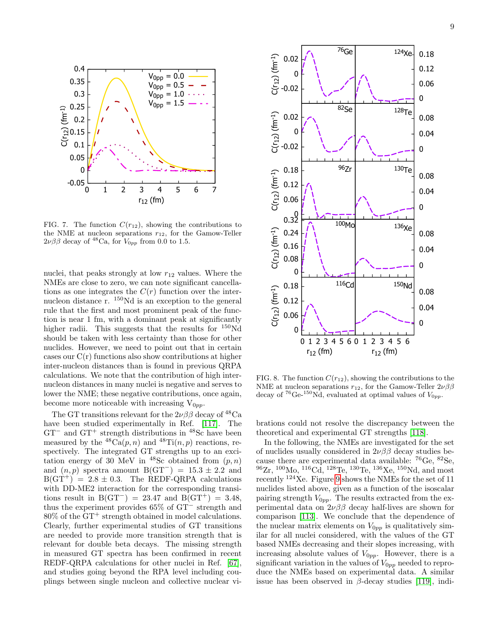

<span id="page-8-0"></span>FIG. 7. The function  $C(r_{12})$ , showing the contributions to the NME at nucleon separations  $r_{12}$ , for the Gamow-Teller  $2\nu\beta\beta$  decay of <sup>48</sup>Ca, for  $V_{0pp}$  from 0.0 to 1.5.

nuclei, that peaks strongly at low  $r_{12}$  values. Where the NMEs are close to zero, we can note significant cancellations as one integrates the  $C(r)$  function over the internucleon distance r. <sup>150</sup>Nd is an exception to the general rule that the first and most prominent peak of the function is near 1 fm, with a dominant peak at significantly higher radii. This suggests that the results for  $150\text{Nd}$ should be taken with less certainty than those for other nuclides. However, we need to point out that in certain cases our  $C(r)$  functions also show contributions at higher inter-nucleon distances than is found in previous QRPA calculations. We note that the contribution of high internucleon distances in many nuclei is negative and serves to lower the NME; these negative contributions, once again, become more noticeable with increasing  $V_{0pp}$ .

The GT transitions relevant for the  $2\nu\beta\beta$  decay of <sup>48</sup>Ca have been studied experimentally in Ref. [\[117\]](#page-17-6). The GT<sup>−</sup> and GT<sup>+</sup> strength distributions in <sup>48</sup>Sc have been measured by the  ${}^{48}Ca(p, n)$  and  ${}^{48}Ti(n, p)$  reactions, respectively. The integrated GT strengths up to an excitation energy of 30 MeV in <sup>48</sup>Sc obtained from  $(p, n)$ and  $(n, p)$  spectra amount B(GT<sup>-</sup>) = 15.3 ± 2.2 and  $B(GT^+) = 2.8 \pm 0.3$ . The REDF-QRPA calculations with DD-ME2 interaction for the corresponding transitions result in  $B(GT^{-}) = 23.47$  and  $B(GT^{+}) = 3.48$ , thus the experiment provides 65% of GT<sup>−</sup> strength and 80% of the GT<sup>+</sup> strength obtained in model calculations. Clearly, further experimental studies of GT transitions are needed to provide more transition strength that is relevant for double beta decays. The missing strength in measured GT spectra has been confirmed in recent REDF-QRPA calculations for other nuclei in Ref. [\[67\]](#page-16-7), and studies going beyond the RPA level including couplings between single nucleon and collective nuclear vi-



<span id="page-8-1"></span>FIG. 8. The function  $C(r_{12})$ , showing the contributions to the NME at nucleon separations  $r_{12}$ , for the Gamow-Teller  $2\nu\beta\beta$ decay of <sup>76</sup>Ge-<sup>150</sup>Nd, evaluated at optimal values of  $V_{0pp}$ .

brations could not resolve the discrepancy between the theoretical and experimental GT strengths [\[118\]](#page-17-7).

In the following, the NMEs are investigated for the set of nuclides usually considered in  $2\nu\beta\beta$  decay studies because there are experimental data available: <sup>76</sup>Ge, <sup>82</sup>Se,  $^{96}Zr$ ,  $^{100}Mo$ ,  $^{116}Cd$ ,  $^{128}Te$ ,  $^{130}Te$ ,  $^{136}Xe$ ,  $^{150}Nd$ , and most recently  $124$ Xe. Figure [9](#page-9-0) shows the NMEs for the set of 11 nuclides listed above, given as a function of the isoscalar pairing strength  $V_{0pp}$ . The results extracted from the experimental data on  $2\nu\beta\beta$  decay half-lives are shown for comparison [\[113\]](#page-17-2). We conclude that the dependence of the nuclear matrix elements on  $V_{0pp}$  is qualitatively similar for all nuclei considered, with the values of the GT based NMEs decreasing and their slopes increasing, with increasing absolute values of  $V_{0pp}$ . However, there is a significant variation in the values of  $V_{0pp}$  needed to reproduce the NMEs based on experimental data. A similar issue has been observed in  $\beta$ -decay studies [\[119\]](#page-17-8), indi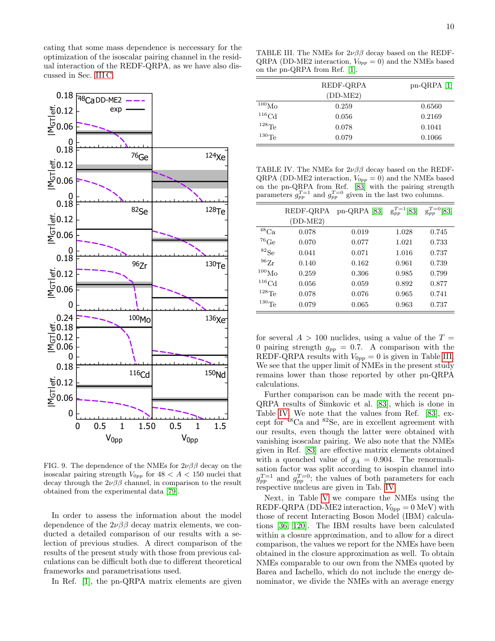cating that some mass dependence is neccessary for the optimization of the isoscalar pairing channel in the residual interaction of the REDF-QRPA, as we have also discussed in Sec. [III C.](#page-4-0)



<span id="page-9-0"></span>FIG. 9. The dependence of the NMEs for  $2\nu\beta\beta$  decay on the isoscalar pairing strength  $V_{0pp}$  for  $48 < A < 150$  nuclei that decay through the  $2\nu\beta\beta$  channel, in comparison to the result obtained from the experimental data [\[79\]](#page-16-19).

In order to assess the information about the model dependence of the  $2\nu\beta\beta$  decay matrix elements, we conducted a detailed comparison of our results with a selection of previous studies. A direct comparison of the results of the present study with those from previous calculations can be difficult both due to different theoretical frameworks and parametrisations used.

In Ref. [\[1\]](#page-15-0), the pn-QRPA matrix elements are given

<span id="page-9-1"></span>TABLE III. The NMEs for  $2\nu\beta\beta$  decay based on the REDF-QRPA (DD-ME2 interaction,  $V_{0pp} = 0$ ) and the NMEs based on the pn-QRPA from Ref. [\[1\]](#page-15-0).

|                     | REDF-QRPA  | $pn-QRPA$ [1] |
|---------------------|------------|---------------|
|                     | $(DD-ME2)$ |               |
| 100 <sub>Mo</sub>   | 0.259      | 0.6560        |
| ${}^{116}\text{Cd}$ | 0.056      | 0.2169        |
| $128\text{Te}$      | 0.078      | 0.1041        |
| $^{130}$ Te         | 0.079      | 0.1066        |

<span id="page-9-2"></span>TABLE IV. The NMEs for  $2\nu\beta\beta$  decay based on the REDF-QRPA (DD-ME2 interaction,  $V_{0pp} = 0$ ) and the NMEs based on the pn-QRPA from Ref. [\[83\]](#page-16-22) with the pairing strength parameters  $g_{pp}^{T=1}$  and  $g_{pp}^{T=0}$  given in the last two columns.

|                       | REDF-QRPA  | $pn-QRPA$ [83] | $g_{pp}^{T=1}[83]$ | $g_{pp}^{T=0}$ [83] |
|-----------------------|------------|----------------|--------------------|---------------------|
|                       | $(DD-ME2)$ |                |                    |                     |
| ${}^{48}\mathrm{Ca}$  | 0.078      | 0.019          | 1.028              | 0.745               |
| $^{76}$ Ge            | 0.070      | 0.077          | 1.021              | 0.733               |
| ${}^{82}Se$           | 0.041      | 0.071          | 1.016              | 0.737               |
| $^{96}Zr$             | 0.140      | 0.162          | 0.961              | 0.739               |
| 100 <sub>Mo</sub>     | 0.259      | 0.306          | 0.985              | 0.799               |
| ${}^{116}\mathrm{Cd}$ | 0.056      | 0.059          | 0.892              | 0.877               |
| $128$ Te              | 0.078      | 0.076          | 0.965              | 0.741               |
| $^{130}\mathrm{Te}$   | 0.079      | 0.065          | 0.963              | 0.737               |
|                       |            |                |                    |                     |

for several  $A > 100$  nuclides, using a value of the  $T =$ 0 pairing strength  $g_{pp} = 0.7$ . A comparison with the REDF-QRPA results with  $V_{0pp} = 0$  is given in Table [III.](#page-9-1) We see that the upper limit of NMEs in the present study remains lower than those reported by other pn-QRPA calculations.

Further comparison can be made with the recent pn- $QRPA$  results of Simkovic et al.  $[83]$ , which is done in Table [IV.](#page-9-2) We note that the values from Ref. [\[83\]](#page-16-22), except for <sup>48</sup>Ca and <sup>82</sup>Se, are in excellent agreement with our results, even though the latter were obtained with vanishing isoscalar pairing. We also note that the NMEs given in Ref. [\[83\]](#page-16-22) are effective matrix elements obtained with a quenched value of  $g_A = 0.904$ . The renormalisation factor was split according to isospin channel into  $g_{pp}^{T=1}$  and  $g_{pp}^{T=0}$ ; the values of both parameters for each respective nucleus are given in Tab. [IV.](#page-9-2)

Next, in Table [V](#page-10-0) we compare the NMEs using the REDF-QRPA (DD-ME2 interaction,  $V_{0pp} = 0$  MeV) with those of recent Interacting Boson Model (IBM) calculations [\[36,](#page-15-22) [120\]](#page-17-9). The IBM results have been calculated within a closure approximation, and to allow for a direct comparison, the values we report for the NMEs have been obtained in the closure approximation as well. To obtain NMEs comparable to our own from the NMEs quoted by Barea and Iachello, which do not include the energy denominator, we divide the NMEs with an average energy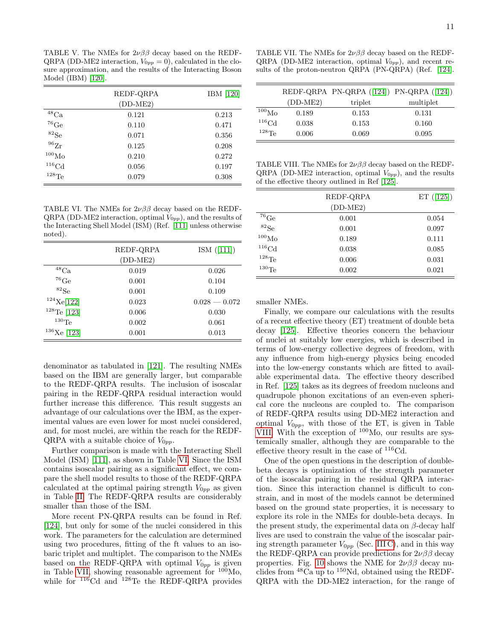<span id="page-10-0"></span>TABLE V. The NMEs for  $2\nu\beta\beta$  decay based on the REDF-QRPA (DD-ME2 interaction,  $V_{0pp} = 0$ ), calculated in the closure approximation, and the results of the Interacting Boson Model (IBM) [\[120\]](#page-17-9).

|                       | REDF-QRPA  | $IBM$ [120] |
|-----------------------|------------|-------------|
|                       | $(DD-ME2)$ |             |
| ${}^{48}\mathrm{Ca}$  | 0.121      | 0.213       |
| $^{76}\mathrm{Ge}$    | 0.110      | 0.471       |
| ${}^{82}Se$           | 0.071      | 0.356       |
| $^{96}Zr$             | 0.125      | 0.208       |
| $^{100}\mathrm{Mo}$   | 0.210      | 0.272       |
| ${}^{116}\mathrm{Cd}$ | 0.056      | 0.197       |
| $^{128}\mathrm{Te}$   | 0.079      | 0.308       |

<span id="page-10-1"></span>TABLE VI. The NMEs for  $2\nu\beta\beta$  decay based on the REDF- $QRPA$  (DD-ME2 interaction, optimal  $V_{0pp}$ ), and the results of the Interacting Shell Model (ISM) (Ref. [\[111\]](#page-17-0) unless otherwise noted).

|                | REDF-QRPA  | ISM([111])      |
|----------------|------------|-----------------|
|                | $(DD-ME2)$ |                 |
| $^{48}$ Ca     | 0.019      | 0.026           |
| ${}^{76}$ Ge   | 0.001      | 0.104           |
| ${}^{82}Se$    | 0.001      | 0.109           |
| $124$ Xe[122]  | 0.023      | $0.028 - 0.072$ |
| $128$ Te [123] | 0.006      | 0.030           |
| $130\text{Te}$ | 0.002      | 0.061           |
| $136$ Xe [123] | 0.001      | 0.013           |

denominator as tabulated in [\[121\]](#page-17-12). The resulting NMEs based on the IBM are generally larger, but comparable to the REDF-QRPA results. The inclusion of isoscalar pairing in the REDF-QRPA residual interaction would further increase this difference. This result suggests an advantage of our calculations over the IBM, as the experimental values are even lower for most nuclei considered, and, for most nuclei, are within the reach for the REDF-QRPA with a suitable choice of  $V_{0pp}$ .

Further comparison is made with the Interacting Shell Model (ISM) [\[111\]](#page-17-0), as shown in Table [VI.](#page-10-1) Since the ISM contains isoscalar pairing as a significant effect, we compare the shell model results to those of the REDF-QRPA calculated at the optimal pairing strength  $V_{0pp}$  as given in Table [II.](#page-5-0) The REDF-QRPA results are considerably smaller than those of the ISM.

More recent PN-QRPA results can be found in Ref. [\[124\]](#page-17-13), but only for some of the nuclei considered in this work. The parameters for the calculation are determined using two procedures, fitting of the ft values to an isobaric triplet and multiplet. The comparison to the NMEs based on the REDF-QRPA with optimal  $V_{0pp}$  is given in Table [VII,](#page-10-2) showing reasonable agreement for  $100_{\text{Mo}}$ , while for <sup>116</sup>Cd and <sup>128</sup>Te the REDF-QRPA provides

<span id="page-10-2"></span>TABLE VII. The NMEs for  $2\nu\beta\beta$  decay based on the REDF-QRPA (DD-ME2 interaction, optimal  $V_{0pp}$ ), and recent results of the proton-neutron QRPA (PN-QRPA) (Ref. [\[124\]](#page-17-13).

|                   |            | REDF-QRPA PN-QRPA $(124)$ PN-QRPA $(124)$ |           |
|-------------------|------------|-------------------------------------------|-----------|
|                   | $(DD-ME2)$ | triplet                                   | multiplet |
| 100 <sub>Mo</sub> | 0.189      | 0.153                                     | 0.131     |
| $^{116}$ Cd       | 0.038      | 0.153                                     | 0.160     |
| $^{128}$ Te       | 0.006      | 0.069                                     | 0.095     |

<span id="page-10-3"></span>TABLE VIII. The NMEs for  $2\nu\beta\beta$  decay based on the REDF-QRPA (DD-ME2 interaction, optimal  $V_{0pp}$ ), and the results of the effective theory outlined in Ref [\[125\]](#page-17-14).

|                     | REDF-QRPA  | ET $([125])$ |
|---------------------|------------|--------------|
|                     | $(DD-ME2)$ |              |
| $^{76}$ Ge          | 0.001      | 0.054        |
| ${}^{82}Se$         | 0.001      | 0.097        |
| $^{100}\mathrm{Mo}$ | 0.189      | 0.111        |
| ${}^{116}\text{Cd}$ | 0.038      | 0.085        |
| $^{128}\mathrm{Te}$ | 0.006      | 0.031        |
| $^{130}\mathrm{Te}$ | 0.002      | 0.021        |

smaller NMEs.

Finally, we compare our calculations with the results of a recent effective theory (ET) treatment of double beta decay [\[125\]](#page-17-14). Effective theories concern the behaviour of nuclei at suitably low energies, which is described in terms of low-energy collective degrees of freedom, with any influence from high-energy physics being encoded into the low-energy constants which are fitted to available experimental data. The effective theory described in Ref. [\[125\]](#page-17-14) takes as its degrees of freedom nucleons and quadrupole phonon excitations of an even-even spherical core the nucleons are coupled to. The comparison of REDF-QRPA results using DD-ME2 interaction and optimal  $V_{0pp}$ , with those of the ET, is given in Table [VIII.](#page-10-3) With the exception of <sup>100</sup>Mo, our results are systemically smaller, although they are comparable to the effective theory result in the case of <sup>116</sup>Cd.

One of the open questions in the description of doublebeta decays is optimization of the strength parameter of the isoscalar pairing in the residual QRPA interaction. Since this interaction channel is difficult to constrain, and in most of the models cannot be determined based on the ground state properties, it is necessary to explore its role in the NMEs for double-beta decays. In the present study, the experimental data on  $\beta$ -decay half lives are used to constrain the value of the isoscalar pairing strength parameter  $V_{0pp}$  (Sec. [III C\)](#page-4-0), and in this way the REDF-QRPA can provide predictions for  $2\nu\beta\beta$  decay properties. Fig. [10](#page-11-0) shows the NME for  $2\nu\beta\beta$  decay nuclides from  ${}^{48}$ Ca up to  ${}^{150}$ Nd, obtained using the REDF-QRPA with the DD-ME2 interaction, for the range of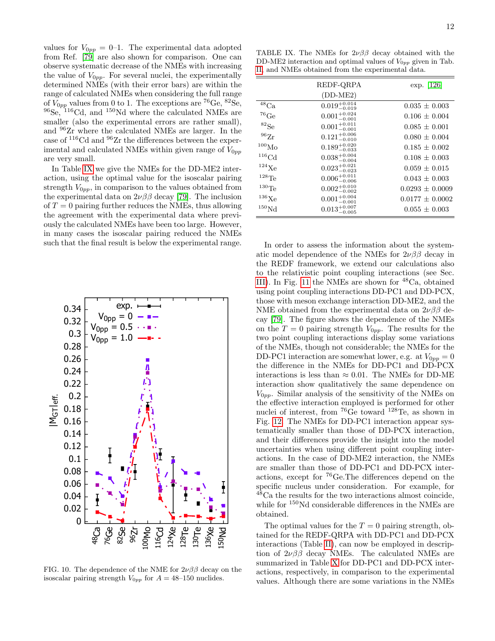values for  $V_{0pp} = 0-1$ . The experimental data adopted from Ref. [\[79\]](#page-16-19) are also shown for comparison. One can observe systematic decrease of the NMEs with increasing the value of  $V_{0pp}$ . For several nuclei, the experimentally determined NMEs (with their error bars) are within the range of calculated NMEs when considering the full range of  $V_{0pp}$  values from 0 to 1. The exceptions are <sup>76</sup>Ge, <sup>82</sup>Se,  $96$ Se,  $116$ Cd, and  $150$ Nd where the calculated NMEs are smaller (also the experimental errors are rather small), and <sup>96</sup>Zr where the calculated NMEs are larger. In the case of  $\mathrm{^{116}Cd}$  and  $\mathrm{^{96}Zr}$  the differences between the experimental and calculated NMEs within given range of  $V_{0pp}$ are very small.

In Table [IX](#page-11-1) we give the NMEs for the DD-ME2 interaction, using the optimal value for the isoscalar pairing strength  $V_{0pp}$ , in comparison to the values obtained from the experimental data on  $2\nu\beta\beta$  decay [\[79\]](#page-16-19). The inclusion of  $T = 0$  pairing further reduces the NMEs, thus allowing the agreement with the experimental data where previously the calculated NMEs have been too large. However, in many cases the isoscalar pairing reduced the NMEs such that the final result is below the experimental range.



<span id="page-11-0"></span>FIG. 10. The dependence of the NME for  $2\nu\beta\beta$  decay on the isoscalar pairing strength  $V_{0pp}$  for  $A = 48{\text -}150$  nuclides.

<span id="page-11-1"></span>TABLE IX. The NMEs for  $2\nu\beta\beta$  decay obtained with the DD-ME2 interaction and optimal values of  $V_{0pp}$  given in Tab. [II,](#page-5-0) and NMEs obtained from the experimental data.

|                     | REDF-QRPA                 | $exp. \;  126 $     |
|---------------------|---------------------------|---------------------|
|                     | $(DD-ME2)$                |                     |
| $^{48}\mathrm{Ca}$  | $0.019^{+0.014}_{-0.019}$ | $0.035 \pm 0.003$   |
| $^{76}\mathrm{Ge}$  | $0.001^{+0.024}_{-0.001}$ | $0.106 \pm 0.004$   |
| ${}^{82}Se$         | $0.001^{+0.011}_{-0.001}$ | $0.085 \pm 0.001$   |
| $^{96}\mathrm{Zr}$  | $0.121^{+0.006}_{-0.010}$ | $0.080 \pm 0.004$   |
| $^{100}\rm{Mo}$     | $0.189^{+0.020}_{-0.033}$ | $0.185 \pm 0.002$   |
| ${}^{116}\text{Cd}$ | $0.038^{+0.004}_{-0.004}$ | $0.108 \pm 0.003$   |
| $^{124}\mathrm{Xe}$ | $0.023_{-0.023}^{+0.021}$ | $0.059 \pm 0.015$   |
| $128\text{Te}$      | $0.006_{-0.006}^{+0.011}$ | $0.043 \pm 0.003$   |
| $^{130}\mathrm{Te}$ | $0.002^{+0.010}_{-0.002}$ | $0.0293 \pm 0.0009$ |
| $^{136}\text{Xe}$   | $0.001^{+0.004}_{-0.001}$ | $0.0177 \pm 0.0002$ |
| $^{150}\mathrm{Nd}$ | $0.013_{-0.005}^{+0.007}$ | $0.055 \pm 0.003$   |

In order to assess the information about the systematic model dependence of the NMEs for  $2\nu\beta\beta$  decay in the REDF framework, we extend our calculations also to the relativistic point coupling interactions (see Sec. [III\)](#page-2-0). In Fig. [11](#page-12-0) the NMEs are shown for  $^{48}Ca$ , obtained using point coupling interactions DD-PC1 and DD-PCX, those with meson exchange interaction DD-ME2, and the NME obtained from the experimental data on  $2\nu\beta\beta$  decay [\[79\]](#page-16-19). The figure shows the dependence of the NMEs on the  $T = 0$  pairing strength  $V_{0pp}$ . The results for the two point coupling interactions display some variations of the NMEs, though not considerable; the NMEs for the DD-PC1 interaction are somewhat lower, e.g. at  $V_{0pp} = 0$ the difference in the NMEs for DD-PC1 and DD-PCX interactions is less than  $\approx 0.01$ . The NMEs for DD-ME interaction show qualitatively the same dependence on  $V_{0pp}$ . Similar analysis of the sensitivity of the NMEs on the effective interaction employed is performed for other nuclei of interest, from  ${}^{76}Ge$  toward  ${}^{128}Te$ , as shown in Fig. [12.](#page-12-1) The NMEs for DD-PC1 interaction appear systematically smaller than those of DD-PCX interaction, and their differences provide the insight into the model uncertainties when using different point coupling interactions. In the case of DD-ME2 interaction, the NMEs are smaller than those of DD-PC1 and DD-PCX interactions, except for <sup>76</sup>Ge.The differences depend on the specific nucleus under consideration. For example, for  $48\text{Ca}$  the results for the two interactions almost coincide, while for <sup>150</sup>Nd considerable differences in the NMEs are obtained.

The optimal values for the  $T = 0$  pairing strength, obtained for the REDF-QRPA with DD-PC1 and DD-PCX interactions (Table [II\)](#page-5-0), can now be employed in description of  $2\nu\beta\beta$  decay NMEs. The calculated NMEs are summarized in Table [X](#page-12-2) for DD-PC1 and DD-PCX interactions, respectively, in comparison to the experimental values. Although there are some variations in the NMEs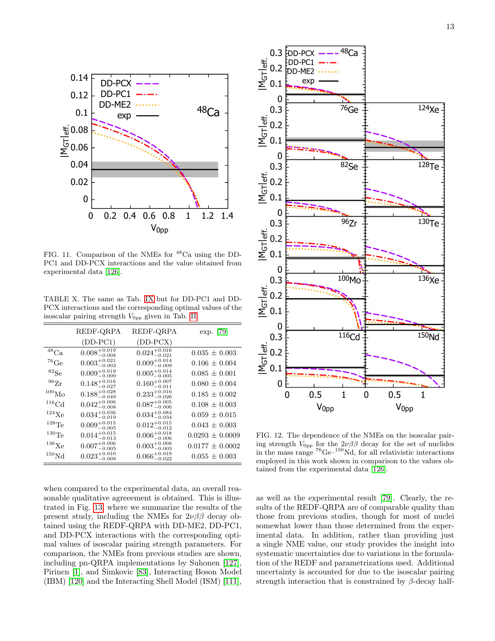

<span id="page-12-0"></span>FIG. 11. Comparison of the NMEs for <sup>48</sup>Ca using the DD-PC1 and DD-PCX interactions and the value obtained from experimental data [\[126\]](#page-17-15).

<span id="page-12-2"></span>TABLE X. The same as Tab. [IX](#page-11-1) but for DD-PC1 and DD-PCX interactions and the corresponding optimal values of the isoscalar pairing strength  $V_{0pp}$  given in Tab. [II.](#page-5-0)

|                      | REDF-QRPA                 | REDF-QRPA                 | exp. [79]           |
|----------------------|---------------------------|---------------------------|---------------------|
|                      | $(DD-PC1)$                | $(DD-PCX)$                |                     |
| ${}^{48}\mathrm{Ca}$ | $0.008^{+0.019}_{-0.008}$ | $0.024_{-0.021}^{+0.016}$ | $0.035 \pm 0.003$   |
| $^{76}$ Ge           | $0.003^{+0.021}_{-0.003}$ | $0.009^{+0.014}_{-0.009}$ | $0.106 \pm 0.004$   |
| ${}^{82}Se$          | $0.009^{+0.019}_{-0.009}$ | $0.005^{+0.014}_{-0.005}$ | $0.085 \pm 0.001$   |
| $^{96}\mathrm{Zr}$   | $0.148^{+0.016}_{-0.027}$ | $0.160^{+0.007}_{-0.011}$ | $0.080 \pm 0.004$   |
| $^{100}\rm{Mo}$      | $0.188^{+0.028}_{-0.049}$ | $0.233_{-0.026}^{+0.016}$ | $0.185 \pm 0.002$   |
| $^{116}$ Cd          | $0.042^{+0.006}_{-0.008}$ | $0.087^{+0.005}_{-0.006}$ | $0.108 \pm 0.003$   |
| $124$ Xe             | $0.034_{-0.019}^{+0.036}$ | $0.034_{-0.034}^{+0.084}$ | $0.059 \pm 0.015$   |
| $128\text{Te}$       | $0.009^{+0.015}_{-0.005}$ | $0.012_{-0.012}^{+0.015}$ | $0.043 \pm 0.003$   |
| $^{130}\mathrm{Te}$  | $0.014_{-0.013}^{+0.015}$ | $0.006_{-0.006}^{+0.018}$ | $0.0293 \pm 0.0009$ |
| $^{136}\mathrm{Xe}$  | $0.007^{+0.006}_{-0.005}$ | $0.003^{+0.008}_{-0.003}$ | $0.0177 \pm 0.0002$ |
| $^{150}\mathrm{Nd}$  | $0.023^{+0.010}_{-0.008}$ | $0.066_{-0.022}^{+0.019}$ | $0.055 \pm 0.003$   |

when compared to the experimental data, an overall reasonable qualitative agreeement is obtained. This is illustrated in Fig. [13,](#page-13-0) where we summarize the results of the present study, including the NMEs for  $2\nu\beta\beta$  decay obtained using the REDF-QRPA with DD-ME2, DD-PC1, and DD-PCX interactions with the corresponding optimal values of isoscalar pairing strength parameters. For comparison, the NMEs from previous studies are shown, including pn-QRPA implementations by Suhonen [\[127\]](#page-17-16), Pirinen [\[1\]](#page-15-0), and Simkovic [\[83\]](#page-16-22), Interacting Boson Model (IBM) [\[120\]](#page-17-9) and the Interacting Shell Model (ISM) [\[111\]](#page-17-0),



<span id="page-12-1"></span>FIG. 12. The dependence of the NMEs on the isoscalar pairing strength  $V_{0pp}$  for the  $2\nu\beta\beta$  decay for the set of nuclides in the mass range  ${}^{76}Ge-{}^{150}Nd$ , for all relativistic interactions employed in this work shown in comparison to the values obtained from the experimental data [\[126\]](#page-17-15).

as well as the experimental result [\[79\]](#page-16-19). Clearly, the results of the REDF-QRPA are of comparable quality than those from previous studies, though for most of nuclei somewhat lower than those determined from the experimental data. In addition, rather than providing just a single NME value, our study provides the insight into systematic uncertainties due to variations in the formulation of the REDF and parametrizations used. Additional uncertainty is accounted for due to the isoscalar pairing strength interaction that is constrained by  $\beta$ -decay half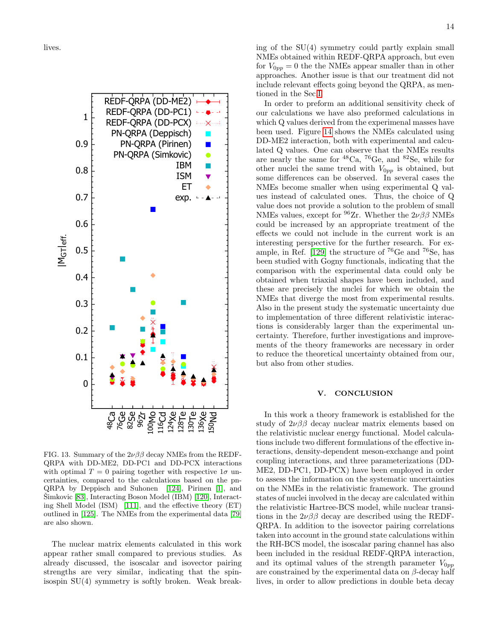lives.



<span id="page-13-0"></span>FIG. 13. Summary of the  $2\nu\beta\beta$  decay NMEs from the REDF-QRPA with DD-ME2, DD-PC1 and DD-PCX interactions with optimal  $T = 0$  pairing together with respective  $1\sigma$  uncertainties, compared to the calculations based on the pn-QRPA by Deppisch and Suhonen [\[124\]](#page-17-13), Pirinen [\[1\]](#page-15-0), and Simkovic [\[83\]](#page-16-22), Interacting Boson Model (IBM) [\[120\]](#page-17-9), Interacting Shell Model (ISM) [\[111\]](#page-17-0), and the effective theory (ET) outlined in [\[125\]](#page-17-14). The NMEs from the experimental data [\[79\]](#page-16-19) are also shown.

The nuclear matrix elements calculated in this work appear rather small compared to previous studies. As already discussed, the isoscalar and isovector pairing strengths are very similar, indicating that the spinisospin SU(4) symmetry is softly broken. Weak breaking of the SU(4) symmetry could partly explain small NMEs obtained within REDF-QRPA approach, but even for  $V_{0pp} = 0$  the the NMEs appear smaller than in other approaches. Another issue is that our treatment did not include relevant effects going beyond the QRPA, as mentioned in the Sec[.I.](#page-0-3)

In order to preform an additional sensitivity check of our calculations we have also preformed calculations in which Q values derived from the experimenal masses have been used. Figure [14](#page-14-0) shows the NMEs calculated using DD-ME2 interaction, both with experimental and calculated Q values. One can observe that the NMEs results are nearly the same for  ${}^{48}Ca$ ,  ${}^{76}Ge$ , and  ${}^{82}Se$ , while for other nuclei the same trend with  $V_{0pp}$  is obtained, but some differences can be observed. In several cases the NMEs become smaller when using experimental Q values instead of calculated ones. Thus, the choice of Q value does not provide a solution to the problem of small NMEs values, except for <sup>96</sup>Zr. Whether the  $2\nu\beta\beta$  NMEs could be increased by an appropriate treatment of the effects we could not include in the current work is an interesting perspective for the further research. For ex-ample, in Ref. [\[129\]](#page-17-17) the structure of  $^{76}$ Ge and  $^{76}$ Se, has been studied with Gogny functionals, indicating that the comparison with the experimental data could only be obtained when triaxial shapes have been included, and these are precisely the nuclei for which we obtain the NMEs that diverge the most from experimental results. Also in the present study the systematic uncertainty due to implementation of three different relativistic interactions is considerably larger than the experimental uncertainty. Therefore, further investigations and improvements of the theory frameworks are necessary in order to reduce the theoretical uncertainty obtained from our, but also from other studies.

#### V. CONCLUSION

In this work a theory framework is established for the study of  $2\nu\beta\beta$  decay nuclear matrix elements based on the relativistic nuclear energy functional. Model calculations include two different formulations of the effective interactions, density-dependent meson-exchange and point coupling interactions, and three parameterizations (DD-ME2, DD-PC1, DD-PCX) have been employed in order to assess the information on the systematic uncertainties on the NMEs in the relativistic framework. The ground states of nuclei involved in the decay are calculated within the relativistic Hartree-BCS model, while nuclear transitions in the  $2\nu\beta\beta$  decay are described using the REDF-QRPA. In addition to the isovector pairing correlations taken into account in the ground state calculations within the RH-BCS model, the isoscalar paring channel has also been included in the residual REDF-QRPA interaction, and its optimal values of the strength parameter  $V_{0pp}$ are constrained by the experimental data on  $\beta$ -decay half lives, in order to allow predictions in double beta decay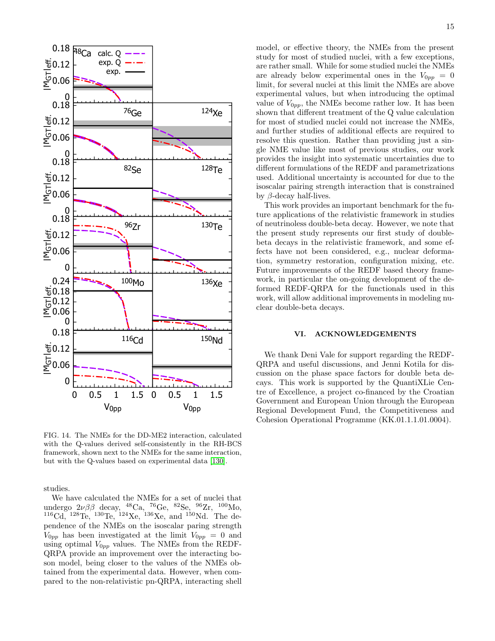

<span id="page-14-0"></span>FIG. 14. The NMEs for the DD-ME2 interaction, calculated with the Q-values derived self-consistently in the RH-BCS framework, shown next to the NMEs for the same interaction, but with the Q-values based on experimental data [\[130\]](#page-17-18).

studies.

We have calculated the NMEs for a set of nuclei that undergo  $2\nu\beta\beta$  decay, <sup>48</sup>Ca, <sup>76</sup>Ge, <sup>82</sup>Se, <sup>96</sup>Zr, <sup>100</sup>Mo,  $^{116}$ Cd,  $^{128}$ Te,  $^{130}$ Te,  $^{124}$ Xe,  $^{136}$ Xe, and  $^{150}$ Nd. The dependence of the NMEs on the isoscalar paring strength  $V_{0pp}$  has been investigated at the limit  $V_{0pp} = 0$  and using optimal  $V_{0pp}$  values. The NMEs from the REDF-QRPA provide an improvement over the interacting boson model, being closer to the values of the NMEs obtained from the experimental data. However, when compared to the non-relativistic pn-QRPA, interacting shell model, or effective theory, the NMEs from the present study for most of studied nuclei, with a few exceptions, are rather small. While for some studied nuclei the NMEs are already below experimental ones in the  $V_{0pp} = 0$ limit, for several nuclei at this limit the NMEs are above experimental values, but when introducing the optimal value of  $V_{0pp}$ , the NMEs become rather low. It has been shown that different treatment of the Q value calculation for most of studied nuclei could not increase the NMEs, and further studies of additional effects are required to resolve this question. Rather than providing just a single NME value like most of previous studies, our work provides the insight into systematic uncertainties due to different formulations of the REDF and parametrizations used. Additional uncertainty is accounted for due to the isoscalar pairing strength interaction that is constrained by  $\beta$ -decay half-lives.

This work provides an important benchmark for the future applications of the relativistic framework in studies of neutrinoless double-beta decay. However, we note that the present study represents our first study of doublebeta decays in the relativistic framework, and some effects have not been considered, e.g., nuclear deformation, symmetry restoration, configuration mixing, etc. Future improvements of the REDF based theory framework, in particular the on-going development of the deformed REDF-QRPA for the functionals used in this work, will allow additional improvements in modeling nuclear double-beta decays.

#### VI. ACKNOWLEDGEMENTS

We thank Deni Vale for support regarding the REDF-QRPA and useful discussions, and Jenni Kotila for discussion on the phase space factors for double beta decays. This work is supported by the QuantiXLie Centre of Excellence, a project co-financed by the Croatian Government and European Union through the European Regional Development Fund, the Competitiveness and Cohesion Operational Programme (KK.01.1.1.01.0004).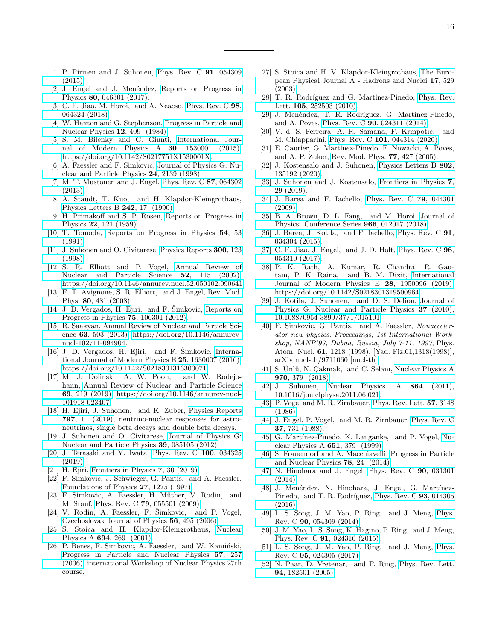- <span id="page-15-0"></span>[1] P. Pirinen and J. Suhonen, [Phys. Rev. C](https://doi.org/10.1103/PhysRevC.91.054309) 91, 054309 [\(2015\).](https://doi.org/10.1103/PhysRevC.91.054309)
- <span id="page-15-1"></span>[2] J. Engel and J. Menéndez, [Reports on Progress in](https://doi.org/10.1088/1361-6633/aa5bc5) Physics 80[, 046301 \(2017\).](https://doi.org/10.1088/1361-6633/aa5bc5)
- <span id="page-15-2"></span>[3] C. F. Jiao, M. Horoi, and A. Neacsu, [Phys. Rev. C](https://doi.org/10.1103/PhysRevC.98.064324) 98, [064324 \(2018\).](https://doi.org/10.1103/PhysRevC.98.064324)
- <span id="page-15-3"></span>[4] W. Haxton and G. Stephenson, [Progress in Particle and](https://doi.org/ https://doi.org/10.1016/0146-6410(84)90006-1) [Nuclear Physics](https://doi.org/ https://doi.org/10.1016/0146-6410(84)90006-1) 12, 409 (1984).
- <span id="page-15-4"></span>[5] S. M. Bilenky and C. Giunti, [International Jour](https://doi.org/10.1142/S0217751X1530001X)[nal of Modern Physics A](https://doi.org/10.1142/S0217751X1530001X) 30, 1530001 (2015), [https://doi.org/10.1142/S0217751X1530001X.](http://arxiv.org/abs/https://doi.org/10.1142/S0217751X1530001X)
- <span id="page-15-5"></span>[6] A. Faessler and F. Simkovic, [Journal of Physics G: Nu](https://doi.org/10.1088/0954-3899/24/12/001)[clear and Particle Physics](https://doi.org/10.1088/0954-3899/24/12/001) 24, 2139 (1998).
- <span id="page-15-6"></span>[7] M. T. Mustonen and J. Engel, [Phys. Rev. C](https://doi.org/10.1103/PhysRevC.87.064302) 87, 064302 [\(2013\).](https://doi.org/10.1103/PhysRevC.87.064302)
- <span id="page-15-7"></span>[8] A. Staudt, T. Kuo, and H. Klapdor-Kleingrothaus, [Physics Letters B](https://doi.org/https://doi.org/10.1016/0370-2693(90)91587-2) 242, 17 (1990).
- <span id="page-15-8"></span>[9] H. Primakoff and S. P. Rosen, [Reports on Progress in](https://doi.org/10.1088/0034-4885/22/1/305) Physics 22[, 121 \(1959\).](https://doi.org/10.1088/0034-4885/22/1/305)
- [10] T. Tomoda, [Reports on Progress in Physics](https://doi.org/10.1088/0034-4885/54/1/002) 54, 53 [\(1991\).](https://doi.org/10.1088/0034-4885/54/1/002)
- [11] J. Suhonen and O. Civitarese, [Physics Reports](https://doi.org/ https://doi.org/10.1016/S0370-1573(97)00087-2) 300, 123 [\(1998\).](https://doi.org/ https://doi.org/10.1016/S0370-1573(97)00087-2)
- [12] S. R. Elliott and P. Vogel, [Annual Review of](https://doi.org/10.1146/annurev.nucl.52.050102.090641) [Nuclear and Particle Science](https://doi.org/10.1146/annurev.nucl.52.050102.090641) 52, 115 (2002), [https://doi.org/10.1146/annurev.nucl.52.050102.090641.](http://arxiv.org/abs/https://doi.org/10.1146/annurev.nucl.52.050102.090641)
- [13] F. T. Avignone, S. R. Elliott, and J. Engel, [Rev. Mod.](https://doi.org/10.1103/RevModPhys.80.481) Phys. 80[, 481 \(2008\).](https://doi.org/10.1103/RevModPhys.80.481)
- $[14]$  J. D. Vergados, H. Ejiri, and F. Simkovic, [Reports on](https://doi.org/10.1088/0034-4885/75/10/106301) [Progress in Physics](https://doi.org/10.1088/0034-4885/75/10/106301) 75, 106301 (2012).
- [15] R. Saakyan, [Annual Review of Nuclear and Particle Sci](https://doi.org/10.1146/annurev-nucl-102711-094904)ence 63[, 503 \(2013\),](https://doi.org/10.1146/annurev-nucl-102711-094904) [https://doi.org/10.1146/annurev](http://arxiv.org/abs/https://doi.org/10.1146/annurev-nucl-102711-094904)[nucl-102711-094904.](http://arxiv.org/abs/https://doi.org/10.1146/annurev-nucl-102711-094904)
- <span id="page-15-37"></span>[16] J. D. Vergados, H. Ejiri, and F. Šimkovic, [Interna](https://doi.org/10.1142/S0218301316300071) [tional Journal of Modern Physics E](https://doi.org/10.1142/S0218301316300071) 25, 1630007 (2016), [https://doi.org/10.1142/S0218301316300071.](http://arxiv.org/abs/https://doi.org/10.1142/S0218301316300071)
- [17] M. J. Dolinski, A. W. Poon, and W. Rodejohann, [Annual Review of Nuclear and Particle Science](https://doi.org/10.1146/annurev-nucl-101918-023407) 69[, 219 \(2019\),](https://doi.org/10.1146/annurev-nucl-101918-023407) [https://doi.org/10.1146/annurev-nucl-](http://arxiv.org/abs/https://doi.org/10.1146/annurev-nucl-101918-023407)[101918-023407.](http://arxiv.org/abs/https://doi.org/10.1146/annurev-nucl-101918-023407)
- <span id="page-15-9"></span>[18] H. Ejiri, J. Suhonen, and K. Zuber, [Physics Reports](https://doi.org/https://doi.org/10.1016/j.physrep.2018.12.001) 797[, 1 \(2019\),](https://doi.org/https://doi.org/10.1016/j.physrep.2018.12.001) neutrino-nuclear responses for astroneutrinos, single beta decays and double beta decays.
- <span id="page-15-10"></span>[19] J. Suhonen and O. Civitarese, [Journal of Physics G:](https://doi.org/10.1088/0954-3899/39/8/085105) [Nuclear and Particle Physics](https://doi.org/10.1088/0954-3899/39/8/085105) 39, 085105 (2012).
- [20] J. Terasaki and Y. Iwata, [Phys. Rev. C](https://doi.org/10.1103/PhysRevC.100.034325) 100, 034325 [\(2019\).](https://doi.org/10.1103/PhysRevC.100.034325)
- <span id="page-15-11"></span>[21] H. Ejiri, [Frontiers in Physics](https://doi.org/10.3389/fphy.2019.00030) 7, 30 (2019).
- <span id="page-15-12"></span>[22] F. Simkovic, J. Schwieger, G. Pantis, and A. Faessler, [Foundations of Physics](https://doi.org/ 10.1007/BF02551528) 27, 1275 (1997).
- [23] F. Simkovic, A. Faessler, H. Müther, V. Rodin, and M. Stauf, Phys. Rev. C 79[, 055501 \(2009\).](https://doi.org/ 10.1103/PhysRevC.79.055501)
- $[24]$  V. Rodin, A. Faessler, F. Simkovic, and P. Vogel, [Czechoslovak Journal of Physics](https://doi.org/10.1007/s10582-006-0113-7) 56, 495 (2006).
- <span id="page-15-13"></span>[25] S. Stoica and H. Klapdor-Kleingrothaus, [Nuclear](https://doi.org/ https://doi.org/10.1016/S0375-9474(01)00988-5) Physics A 694[, 269 \(2001\).](https://doi.org/ https://doi.org/10.1016/S0375-9474(01)00988-5)
- <span id="page-15-14"></span>[26] P. Beneš, F. Šimkovic, A. Faessler, and W. Kamiński, [Progress in Particle and Nuclear Physics](https://doi.org/https://doi.org/10.1016/j.ppnp.2005.11.020) 57, 257 [\(2006\),](https://doi.org/https://doi.org/10.1016/j.ppnp.2005.11.020) international Workshop of Nuclear Physics 27th course.
- <span id="page-15-15"></span>[27] S. Stoica and H. V. Klapdor-Kleingrothaus, [The Euro](https://doi.org/10.1140/epja/i2003-10028-0)[pean Physical Journal A - Hadrons and Nuclei](https://doi.org/10.1140/epja/i2003-10028-0) 17, 529 [\(2003\).](https://doi.org/10.1140/epja/i2003-10028-0)
- <span id="page-15-16"></span>[28] T. R. Rodríguez and G. Martínez-Pinedo, [Phys. Rev.](https://doi.org/10.1103/PhysRevLett.105.252503) Lett. 105[, 252503 \(2010\).](https://doi.org/10.1103/PhysRevLett.105.252503)
- <span id="page-15-17"></span>[29] J. Menéndez, T. R. Rodríguez, G. Martínez-Pinedo, and A. Poves, Phys. Rev. C 90[, 024311 \(2014\).](https://doi.org/10.1103/PhysRevC.90.024311)
- <span id="page-15-18"></span>[30] V. d. S. Ferreira, A. R. Samana, F. Krmpotić, and M. Chiapparini, Phys. Rev. C 101[, 044314 \(2020\).](https://doi.org/ 10.1103/PhysRevC.101.044314)
- <span id="page-15-19"></span>[31] E. Caurier, G. Martínez-Pinedo, F. Nowacki, A. Poves, and A. P. Zuker, [Rev. Mod. Phys.](https://doi.org/10.1103/RevModPhys.77.427) 77, 427 (2005).
- [32] J. Kostensalo and J. Suhonen, [Physics Letters B](https://doi.org/https://doi.org/10.1016/j.physletb.2019.135192) 802, [135192 \(2020\).](https://doi.org/https://doi.org/10.1016/j.physletb.2019.135192)
- <span id="page-15-20"></span>[33] J. Suhonen and J. Kostensalo, [Frontiers in Physics](https://doi.org/10.3389/fphy.2019.00029) 7, [29 \(2019\).](https://doi.org/10.3389/fphy.2019.00029)
- <span id="page-15-21"></span>[34] J. Barea and F. Iachello, [Phys. Rev. C](https://doi.org/10.1103/PhysRevC.79.044301) 79, 044301 [\(2009\).](https://doi.org/10.1103/PhysRevC.79.044301)
- [35] B. A. Brown, D. L. Fang, and M. Horoi, [Journal of](https://doi.org/10.1088/1742-6596/966/1/012017) [Physics: Conference Series](https://doi.org/10.1088/1742-6596/966/1/012017) 966, 012017 (2018).
- <span id="page-15-22"></span>[36] J. Barea, J. Kotila, and F. Iachello, [Phys. Rev. C](https://doi.org/10.1103/PhysRevC.91.034304) **91**, [034304 \(2015\).](https://doi.org/10.1103/PhysRevC.91.034304)
- <span id="page-15-23"></span>[37] C. F. Jiao, J. Engel, and J. D. Holt, [Phys. Rev. C](https://doi.org/10.1103/PhysRevC.96.054310) **96**, [054310 \(2017\).](https://doi.org/10.1103/PhysRevC.96.054310)
- [38] P. K. Rath, A. Kumar, R. Chandra, R. Gautam, P. K. Raina, and B. M. Dixit, [International](https://doi.org/ 10.1142/S0218301319500964) [Journal of Modern Physics E](https://doi.org/ 10.1142/S0218301319500964) 28, 1950096 (2019), [https://doi.org/10.1142/S0218301319500964.](http://arxiv.org/abs/https://doi.org/10.1142/S0218301319500964)
- <span id="page-15-24"></span>[39] J. Kotila, J. Suhonen, and D. S. Delion, [Journal of](https://doi.org/{10.1088/0954-3899/37/1/015101}) [Physics G: Nuclear and Particle Physics](https://doi.org/{10.1088/0954-3899/37/1/015101}) 37 (2010), [10.1088/0954-3899/37/1/015101.](https://doi.org/{10.1088/0954-3899/37/1/015101})
- <span id="page-15-25"></span>[40] F. Simkovic, G. Pantis, and A. Faessler, Nonaccelerator new physics. Proceedings, 1st International Workshop, NANP'97, Dubna, Russia, July 7-11, 1997, Phys. Atom. Nucl. 61, 1218 (1998), [Yad. Fiz.61,1318(1998)], [arXiv:nucl-th/9711060 \[nucl-th\].](http://arxiv.org/abs/nucl-th/9711060)
- [41] S. Ünlü, N. Çakmak, and C. Selam, [Nuclear Physics A](https://doi.org/https://doi.org/10.1016/j.nuclphysa.2018.01.002) 970[, 379 \(2018\).](https://doi.org/https://doi.org/10.1016/j.nuclphysa.2018.01.002)
- <span id="page-15-26"></span>[42] J. Suhonen, [Nuclear Physics. A](https://doi.org/10.1016/j.nuclphysa.2011.06.021) 864 (2011), [10.1016/j.nuclphysa.2011.06.021.](https://doi.org/10.1016/j.nuclphysa.2011.06.021)
- <span id="page-15-27"></span>[43] P. Vogel and M. R. Zirnbauer, [Phys. Rev. Lett.](https://doi.org/10.1103/PhysRevLett.57.3148) 57, 3148 [\(1986\).](https://doi.org/10.1103/PhysRevLett.57.3148)
- <span id="page-15-28"></span>[44] J. Engel, P. Vogel, and M. R. Zirnbauer, [Phys. Rev. C](https://doi.org/10.1103/PhysRevC.37.731) 37[, 731 \(1988\).](https://doi.org/10.1103/PhysRevC.37.731)
- <span id="page-15-29"></span>[45] G. Martínez-Pinedo, K. Langanke, and P. Vogel, [Nu](https://doi.org/https://doi.org/10.1016/S0375-9474(99)00141-4)[clear Physics A](https://doi.org/https://doi.org/10.1016/S0375-9474(99)00141-4) 651, 379 (1999).
- <span id="page-15-30"></span>[46] S. Frauendorf and A. Macchiavelli, [Progress in Particle](https://doi.org/ https://doi.org/10.1016/j.ppnp.2014.07.001) [and Nuclear Physics](https://doi.org/ https://doi.org/10.1016/j.ppnp.2014.07.001) 78, 24 (2014).
- <span id="page-15-31"></span>[47] N. Hinohara and J. Engel, [Phys. Rev. C](https://doi.org/10.1103/PhysRevC.90.031301) 90, 031301 [\(2014\).](https://doi.org/10.1103/PhysRevC.90.031301)
- <span id="page-15-32"></span>[48] J. Menéndez, N. Hinohara, J. Engel, G. Martínez-Pinedo, and T. R. Rodríguez, [Phys. Rev. C](https://doi.org/10.1103/PhysRevC.93.014305) 93, 014305 [\(2016\).](https://doi.org/10.1103/PhysRevC.93.014305)
- <span id="page-15-33"></span>[49] L. S. Song, J. M. Yao, P. Ring, and J. Meng, [Phys.](https://doi.org/ 10.1103/PhysRevC.90.054309) Rev. C 90[, 054309 \(2014\).](https://doi.org/ 10.1103/PhysRevC.90.054309)
- <span id="page-15-34"></span>[50] J. M. Yao, L. S. Song, K. Hagino, P. Ring, and J. Meng, Phys. Rev. C 91[, 024316 \(2015\).](https://doi.org/ 10.1103/PhysRevC.91.024316)
- <span id="page-15-35"></span>[51] L. S. Song, J. M. Yao, P. Ring, and J. Meng, [Phys.](https://doi.org/ 10.1103/PhysRevC.95.024305) Rev. C 95[, 024305 \(2017\).](https://doi.org/ 10.1103/PhysRevC.95.024305)
- <span id="page-15-36"></span>[52] N. Paar, D. Vretenar, and P. Ring, [Phys. Rev. Lett.](https://doi.org/10.1103/PhysRevLett.94.182501) 94[, 182501 \(2005\).](https://doi.org/10.1103/PhysRevLett.94.182501)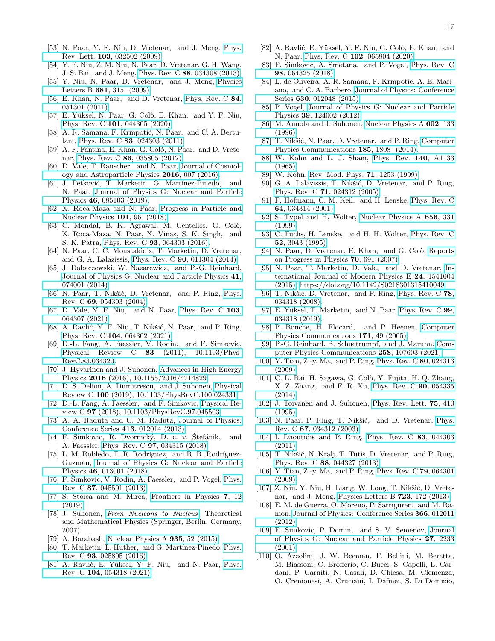- 
- [53] N. Paar, Y. F. Niu, D. Vretenar, and J. Meng, [Phys.](https://doi.org/ 10.1103/PhysRevLett.103.032502) Rev. Lett. 103[, 032502 \(2009\).](https://doi.org/ 10.1103/PhysRevLett.103.032502)
- [54] Y. F. Niu, Z. M. Niu, N. Paar, D. Vretenar, G. H. Wang, J. S. Bai, and J. Meng, Phys. Rev. C 88[, 034308 \(2013\).](https://doi.org/ 10.1103/PhysRevC.88.034308)
- [55] Y. Niu, N. Paar, D. Vretenar, and J. Meng, [Physics](https://doi.org/ https://doi.org/10.1016/j.physletb.2009.10.046) Letters B 681[, 315 \(2009\).](https://doi.org/ https://doi.org/10.1016/j.physletb.2009.10.046)
- [56] E. Khan, N. Paar, and D. Vretenar, [Phys. Rev. C](https://doi.org/10.1103/PhysRevC.84.051301) 84, [051301 \(2011\).](https://doi.org/10.1103/PhysRevC.84.051301)
- <span id="page-16-0"></span>[57] E. Yüksel, N. Paar, G. Colò, E. Khan, and Y. F. Niu, Phys. Rev. C 101[, 044305 \(2020\).](https://doi.org/ 10.1103/PhysRevC.101.044305)
- <span id="page-16-1"></span>[58] A. R. Samana, F. Krmpotić, N. Paar, and C. A. Bertulani, Phys. Rev. C 83[, 024303 \(2011\).](https://doi.org/ 10.1103/PhysRevC.83.024303)
- [59] A. F. Fantina, E. Khan, G. Colò, N. Paar, and D. Vretenar, Phys. Rev. C 86[, 035805 \(2012\).](https://doi.org/ 10.1103/PhysRevC.86.035805)
- [60] D. Vale, T. Rauscher, and N. Paar, [Journal of Cosmol](https://doi.org/10.1088/1475-7516/2016/02/007)[ogy and Astroparticle Physics](https://doi.org/10.1088/1475-7516/2016/02/007) 2016, 007 (2016).
- <span id="page-16-2"></span>[61] J. Petković, T. Marketin, G. Martínez-Pinedo, and N. Paar, [Journal of Physics G: Nuclear and Particle](https://doi.org/10.1088/1361-6471/ab28f5) Physics 46[, 085103 \(2019\).](https://doi.org/10.1088/1361-6471/ab28f5)
- <span id="page-16-3"></span>[62] X. Roca-Maza and N. Paar, [Progress in Particle and](https://doi.org/https://doi.org/10.1016/j.ppnp.2018.04.001) [Nuclear Physics](https://doi.org/https://doi.org/10.1016/j.ppnp.2018.04.001) 101, 96 (2018).
- [63] C. Mondal, B. K. Agrawal, M. Centelles, G. Colò, X. Roca-Maza, N. Paar, X. Viñas, S. K. Singh, and S. K. Patra, Phys. Rev. C 93[, 064303 \(2016\).](https://doi.org/10.1103/PhysRevC.93.064303)
- <span id="page-16-4"></span>[64] N. Paar, C. C. Moustakidis, T. Marketin, D. Vretenar, and G. A. Lalazissis, Phys. Rev. C 90[, 011304 \(2014\).](https://doi.org/10.1103/PhysRevC.90.011304)
- <span id="page-16-5"></span>[65] J. Dobaczewski, W. Nazarewicz, and P.-G. Reinhard, [Journal of Physics G: Nuclear and Particle Physics](https://doi.org/10.1088/0954-3899/41/7/074001) 41, [074001 \(2014\).](https://doi.org/10.1088/0954-3899/41/7/074001)
- <span id="page-16-6"></span>[66] N. Paar, T. Nikšić, D. Vretenar, and P. Ring, [Phys.](https://doi.org/ 10.1103/PhysRevC.69.054303) Rev. C 69[, 054303 \(2004\).](https://doi.org/ 10.1103/PhysRevC.69.054303)
- <span id="page-16-7"></span>[67] D. Vale, Y. F. Niu, and N. Paar, [Phys. Rev. C](https://doi.org/10.1103/PhysRevC.103.064307) 103, [064307 \(2021\).](https://doi.org/10.1103/PhysRevC.103.064307)
- <span id="page-16-8"></span>[68] A. Ravlić, Y. F. Niu, T. Nikšić, N. Paar, and P. Ring, Phys. Rev. C 104[, 064302 \(2021\).](https://doi.org/ 10.1103/PhysRevC.104.064302)
- <span id="page-16-9"></span>[69] D.-L. Fang, A. Faessler, V. Rodin, and F. Simkovic, Physical Review C 83 [\(2011\), 10.1103/Phys-](https://doi.org/ {10.1103/PhysRevC.83.034320})[RevC.83.034320.](https://doi.org/ {10.1103/PhysRevC.83.034320})
- <span id="page-16-10"></span>[70] J. Hyvarinen and J. Suhonen, [Advances in High Energy](https://doi.org/{10.1155/2016/4714829}) Physics 2016 [\(2016\), 10.1155/2016/4714829.](https://doi.org/{10.1155/2016/4714829})
- <span id="page-16-11"></span>[71] D. S. Delion, A. Dumitrescu, and J. Suhonen, [Physical](https://doi.org/{10.1103/PhysRevC.100.024331}) Review C 100 [\(2019\), 10.1103/PhysRevC.100.024331.](https://doi.org/{10.1103/PhysRevC.100.024331})
- <span id="page-16-12"></span>[72] D.-L. Fang, A. Faessler, and F. Simkovic, [Physical Re](https://doi.org/{10.1103/PhysRevC.97.045503})view C 97 [\(2018\), 10.1103/PhysRevC.97.045503.](https://doi.org/{10.1103/PhysRevC.97.045503})
- <span id="page-16-13"></span>[73] A. A. Raduta and C. M. Raduta, [Journal of Physics:](https://doi.org/10.1088/1742-6596/413/1/012014) [Conference Series](https://doi.org/10.1088/1742-6596/413/1/012014) 413, 012014 (2013).
- <span id="page-16-14"></span>[74] F. Simkovic, R. Dvornický, D. c. v. Stefánik, and A. Faessler, Phys. Rev. C 97[, 034315 \(2018\).](https://doi.org/10.1103/PhysRevC.97.034315)
- <span id="page-16-15"></span>[75] L. M. Robledo, T. R. Rodríguez, and R. R. Rodríguez-Guzmán, [Journal of Physics G: Nuclear and Particle](https://doi.org/ 10.1088/1361-6471/aadebd) Physics 46[, 013001 \(2018\).](https://doi.org/ 10.1088/1361-6471/aadebd)
- <span id="page-16-16"></span>[76] F. Simkovic, V. Rodin, A. Faessler, and P. Vogel, [Phys.](https://doi.org/10.1103/PhysRevC.87.045501) Rev. C 87[, 045501 \(2013\).](https://doi.org/10.1103/PhysRevC.87.045501)
- <span id="page-16-17"></span>[77] S. Stoica and M. Mirea, [Frontiers in Physics](https://doi.org/10.3389/fphy.2019.00012) 7, 12 [\(2019\).](https://doi.org/10.3389/fphy.2019.00012)
- <span id="page-16-18"></span>[78] J. Suhonen, [From Nucleons to Nucleus](https://doi.org/10.1007/978-3-540-48861-3), Theoretical and Mathematical Physics (Springer, Berlin, Germany, 2007).
- <span id="page-16-19"></span>[79] A. Barabash, [Nuclear Physics A](https://doi.org/ https://doi.org/10.1016/j.nuclphysa.2015.01.001) 935, 52 (2015).
- <span id="page-16-20"></span>[80] T. Marketin, L. Huther, and G. Martínez-Pinedo, [Phys.](https://doi.org/10.1103/PhysRevC.93.025805) Rev. C 93[, 025805 \(2016\).](https://doi.org/10.1103/PhysRevC.93.025805)
- <span id="page-16-35"></span>[81] A. Ravlić, E. Yüksel, Y. F. Niu, and N. Paar, [Phys.](https://doi.org/10.1103/PhysRevC.104.054318) Rev. C 104[, 054318 \(2021\).](https://doi.org/10.1103/PhysRevC.104.054318)
- <span id="page-16-21"></span>[82] A. Ravlić, E. Yüksel, Y. F. Niu, G. Colò, E. Khan, and N. Paar, Phys. Rev. C 102[, 065804 \(2020\).](https://doi.org/ 10.1103/PhysRevC.102.065804)
- <span id="page-16-22"></span>[83] F. Simkovic, A. Smetana, and P. Vogel, [Phys. Rev. C](https://doi.org/ 10.1103/PhysRevC.98.064325) 98[, 064325 \(2018\).](https://doi.org/ 10.1103/PhysRevC.98.064325)
- <span id="page-16-23"></span>[84] L. de Oliveira, A. R. Samana, F. Krmpotic, A. E. Mariano, and C. A. Barbero, [Journal of Physics: Conference](https://doi.org/10.1088/1742-6596/630/1/012048) Series 630[, 012048 \(2015\).](https://doi.org/10.1088/1742-6596/630/1/012048)
- <span id="page-16-24"></span>[85] P. Vogel, [Journal of Physics G: Nuclear and Particle](https://doi.org/10.1088/0954-3899/39/12/124002) Physics 39[, 124002 \(2012\).](https://doi.org/10.1088/0954-3899/39/12/124002)
- <span id="page-16-25"></span>[86] M. Aunola and J. Suhonen, [Nuclear Physics A](https://doi.org/https://doi.org/10.1016/0375-9474(96)00087-5) 602, 133 [\(1996\).](https://doi.org/https://doi.org/10.1016/0375-9474(96)00087-5)
- <span id="page-16-26"></span>[87] T. Nikšić, N. Paar, D. Vretenar, and P. Ring, [Computer](https://doi.org/ https://doi.org/10.1016/j.cpc.2014.02.027) [Physics Communications](https://doi.org/ https://doi.org/10.1016/j.cpc.2014.02.027) 185, 1808 (2014).
- <span id="page-16-27"></span>[88] W. Kohn and L. J. Sham, [Phys. Rev.](https://doi.org/10.1103/PhysRev.140.A1133) 140, A1133 [\(1965\).](https://doi.org/10.1103/PhysRev.140.A1133)
- <span id="page-16-28"></span>[89] W. Kohn, [Rev. Mod. Phys.](https://doi.org/10.1103/RevModPhys.71.1253) **71**, 1253 (1999).
- <span id="page-16-29"></span>[90] G. A. Lalazissis, T. Nikšić, D. Vretenar, and P. Ring, Phys. Rev. C 71[, 024312 \(2005\).](https://doi.org/10.1103/PhysRevC.71.024312)
- [91] F. Hofmann, C. M. Keil, and H. Lenske, [Phys. Rev. C](https://doi.org/10.1103/PhysRevC.64.034314) 64[, 034314 \(2001\).](https://doi.org/10.1103/PhysRevC.64.034314)
- [92] S. Typel and H. Wolter, [Nuclear Physics A](https://doi.org/https://doi.org/10.1016/S0375-9474(99)00310-3) 656, 331 [\(1999\).](https://doi.org/https://doi.org/10.1016/S0375-9474(99)00310-3)
- <span id="page-16-30"></span>[93] C. Fuchs, H. Lenske, and H. H. Wolter, [Phys. Rev. C](https://doi.org/10.1103/PhysRevC.52.3043) 52[, 3043 \(1995\).](https://doi.org/10.1103/PhysRevC.52.3043)
- <span id="page-16-31"></span>[94] N. Paar, D. Vretenar, E. Khan, and G. Colò, [Reports](https://doi.org/ 10.1088/0034-4885/70/5/r02) [on Progress in Physics](https://doi.org/ 10.1088/0034-4885/70/5/r02) 70, 691 (2007).
- <span id="page-16-32"></span>[95] N. Paar, T. Marketin, D. Vale, and D. Vretenar, [In](https://doi.org/ 10.1142/S0218301315410049)[ternational Journal of Modern Physics E](https://doi.org/ 10.1142/S0218301315410049) 24, 1541004 [\(2015\),](https://doi.org/ 10.1142/S0218301315410049) [https://doi.org/10.1142/S0218301315410049.](http://arxiv.org/abs/https://doi.org/10.1142/S0218301315410049)
- <span id="page-16-33"></span>[96] T. Nikšić, D. Vretenar, and P. Ring, [Phys. Rev. C](https://doi.org/ 10.1103/PhysRevC.78.034318) 78, [034318 \(2008\).](https://doi.org/ 10.1103/PhysRevC.78.034318)
- <span id="page-16-34"></span>[97] E. Yüksel, T. Marketin, and N. Paar, [Phys. Rev. C](https://doi.org/10.1103/PhysRevC.99.034318) 99, [034318 \(2019\).](https://doi.org/10.1103/PhysRevC.99.034318)
- <span id="page-16-36"></span>[98] P. Bonche, H. Flocard, and P. Heenen, [Computer](https://doi.org/https://doi.org/10.1016/j.cpc.2005.05.001) [Physics Communications](https://doi.org/https://doi.org/10.1016/j.cpc.2005.05.001) 171, 49 (2005).
- <span id="page-16-37"></span>[99] P.-G. Reinhard, B. Schuetrumpf, and J. Maruhn, [Com](https://doi.org/https://doi.org/10.1016/j.cpc.2020.107603)[puter Physics Communications](https://doi.org/https://doi.org/10.1016/j.cpc.2020.107603) 258, 107603 (2021).
- <span id="page-16-38"></span>[100] Y. Tian, Z.-y. Ma, and P. Ring, [Phys. Rev. C](https://doi.org/ 10.1103/PhysRevC.80.024313) **80**, 024313 [\(2009\).](https://doi.org/ 10.1103/PhysRevC.80.024313)
- <span id="page-16-39"></span>[101] C. L. Bai, H. Sagawa, G. Colò, Y. Fujita, H. Q. Zhang, X. Z. Zhang, and F. R. Xu, [Phys. Rev. C](https://doi.org/ 10.1103/PhysRevC.90.054335) 90, 054335 [\(2014\).](https://doi.org/ 10.1103/PhysRevC.90.054335)
- <span id="page-16-40"></span>[102] J. Toivanen and J. Suhonen, [Phys. Rev. Lett.](https://doi.org/10.1103/PhysRevLett.75.410) 75, 410 [\(1995\).](https://doi.org/10.1103/PhysRevLett.75.410)
- <span id="page-16-41"></span>[103] N. Paar, P. Ring, T. Nikšić, and D. Vretenar, [Phys.](https://doi.org/ 10.1103/PhysRevC.67.034312) Rev. C 67[, 034312 \(2003\).](https://doi.org/ 10.1103/PhysRevC.67.034312)
- [104] I. Daoutidis and P. Ring, [Phys. Rev. C](https://doi.org/10.1103/PhysRevC.83.044303) 83, 044303 [\(2011\).](https://doi.org/10.1103/PhysRevC.83.044303)
- <span id="page-16-42"></span>[105] T. Nikšić, N. Kralj, T. Tutiš, D. Vretenar, and P. Ring, Phys. Rev. C 88[, 044327 \(2013\).](https://doi.org/10.1103/PhysRevC.88.044327)
- <span id="page-16-43"></span>[106] Y. Tian, Z.-y. Ma, and P. Ring, [Phys. Rev. C](https://doi.org/ 10.1103/PhysRevC.79.064301) 79, 064301 [\(2009\).](https://doi.org/ 10.1103/PhysRevC.79.064301)
- <span id="page-16-44"></span>[107] Z. Niu, Y. Niu, H. Liang, W. Long, T. Nikšić, D. Vretenar, and J. Meng, [Physics Letters B](https://doi.org/ https://doi.org/10.1016/j.physletb.2013.04.048) 723, 172 (2013).
- <span id="page-16-45"></span>[108] E. M. de Guerra, O. Moreno, P. Sarriguren, and M. Ramon, [Journal of Physics: Conference Series](https://doi.org/10.1088/1742-6596/366/1/012011) 366, 012011 [\(2012\).](https://doi.org/10.1088/1742-6596/366/1/012011)
- <span id="page-16-46"></span>[109] F. Simkovic, P. Domin, and S. V. Semenov, [Journal](https://doi.org/10.1088/0954-3899/27/11/304) [of Physics G: Nuclear and Particle Physics](https://doi.org/10.1088/0954-3899/27/11/304) 27, 2233 [\(2001\).](https://doi.org/10.1088/0954-3899/27/11/304)
- <span id="page-16-47"></span>[110] O. Azzolini, J. W. Beeman, F. Bellini, M. Beretta, M. Biassoni, C. Brofferio, C. Bucci, S. Capelli, L. Cardani, P. Carniti, N. Casali, D. Chiesa, M. Clemenza, O. Cremonesi, A. Cruciani, I. Dafinei, S. Di Domizio,